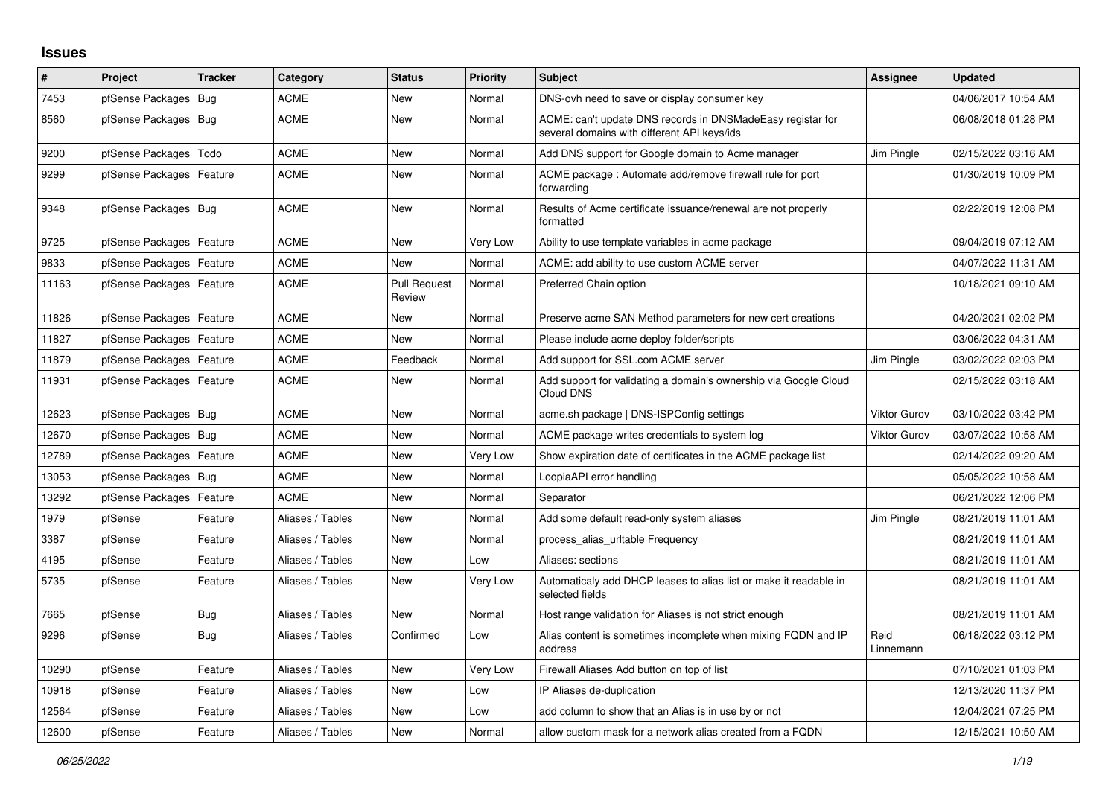## **Issues**

| #     | Project                    | <b>Tracker</b> | Category         | <b>Status</b>                 | <b>Priority</b> | <b>Subject</b>                                                                                            | <b>Assignee</b>     | <b>Updated</b>      |
|-------|----------------------------|----------------|------------------|-------------------------------|-----------------|-----------------------------------------------------------------------------------------------------------|---------------------|---------------------|
| 7453  | pfSense Packages           | Bug            | <b>ACME</b>      | New                           | Normal          | DNS-ovh need to save or display consumer key                                                              |                     | 04/06/2017 10:54 AM |
| 8560  | pfSense Packages   Bug     |                | ACME             | New                           | Normal          | ACME: can't update DNS records in DNSMadeEasy registar for<br>several domains with different API keys/ids |                     | 06/08/2018 01:28 PM |
| 9200  | pfSense Packages           | Todo           | <b>ACME</b>      | <b>New</b>                    | Normal          | Add DNS support for Google domain to Acme manager                                                         | Jim Pingle          | 02/15/2022 03:16 AM |
| 9299  | pfSense Packages   Feature |                | <b>ACME</b>      | New                           | Normal          | ACME package: Automate add/remove firewall rule for port<br>forwarding                                    |                     | 01/30/2019 10:09 PM |
| 9348  | pfSense Packages   Bug     |                | <b>ACME</b>      | <b>New</b>                    | Normal          | Results of Acme certificate issuance/renewal are not properly<br>formatted                                |                     | 02/22/2019 12:08 PM |
| 9725  | pfSense Packages   Feature |                | <b>ACME</b>      | New                           | Very Low        | Ability to use template variables in acme package                                                         |                     | 09/04/2019 07:12 AM |
| 9833  | pfSense Packages           | Feature        | <b>ACME</b>      | New                           | Normal          | ACME: add ability to use custom ACME server                                                               |                     | 04/07/2022 11:31 AM |
| 11163 | pfSense Packages   Feature |                | <b>ACME</b>      | <b>Pull Request</b><br>Review | Normal          | Preferred Chain option                                                                                    |                     | 10/18/2021 09:10 AM |
| 11826 | pfSense Packages   Feature |                | <b>ACME</b>      | <b>New</b>                    | Normal          | Preserve acme SAN Method parameters for new cert creations                                                |                     | 04/20/2021 02:02 PM |
| 11827 | pfSense Packages   Feature |                | ACME             | New                           | Normal          | Please include acme deploy folder/scripts                                                                 |                     | 03/06/2022 04:31 AM |
| 11879 | pfSense Packages   Feature |                | <b>ACME</b>      | Feedback                      | Normal          | Add support for SSL.com ACME server                                                                       | Jim Pingle          | 03/02/2022 02:03 PM |
| 11931 | pfSense Packages   Feature |                | <b>ACME</b>      | <b>New</b>                    | Normal          | Add support for validating a domain's ownership via Google Cloud<br>Cloud DNS                             |                     | 02/15/2022 03:18 AM |
| 12623 | pfSense Packages   Bug     |                | <b>ACME</b>      | <b>New</b>                    | Normal          | acme.sh package   DNS-ISPConfig settings                                                                  | <b>Viktor Gurov</b> | 03/10/2022 03:42 PM |
| 12670 | pfSense Packages   Bug     |                | <b>ACME</b>      | New                           | Normal          | ACME package writes credentials to system log                                                             | <b>Viktor Gurov</b> | 03/07/2022 10:58 AM |
| 12789 | pfSense Packages           | Feature        | <b>ACME</b>      | New                           | Very Low        | Show expiration date of certificates in the ACME package list                                             |                     | 02/14/2022 09:20 AM |
| 13053 | pfSense Packages           | Bug            | <b>ACME</b>      | <b>New</b>                    | Normal          | LoopiaAPI error handling                                                                                  |                     | 05/05/2022 10:58 AM |
| 13292 | pfSense Packages   Feature |                | <b>ACME</b>      | New                           | Normal          | Separator                                                                                                 |                     | 06/21/2022 12:06 PM |
| 1979  | pfSense                    | Feature        | Aliases / Tables | New                           | Normal          | Add some default read-only system aliases                                                                 | Jim Pingle          | 08/21/2019 11:01 AM |
| 3387  | pfSense                    | Feature        | Aliases / Tables | <b>New</b>                    | Normal          | process alias urltable Frequency                                                                          |                     | 08/21/2019 11:01 AM |
| 4195  | pfSense                    | Feature        | Aliases / Tables | New                           | Low             | Aliases: sections                                                                                         |                     | 08/21/2019 11:01 AM |
| 5735  | pfSense                    | Feature        | Aliases / Tables | New                           | Very Low        | Automaticaly add DHCP leases to alias list or make it readable in<br>selected fields                      |                     | 08/21/2019 11:01 AM |
| 7665  | pfSense                    | <b>Bug</b>     | Aliases / Tables | <b>New</b>                    | Normal          | Host range validation for Aliases is not strict enough                                                    |                     | 08/21/2019 11:01 AM |
| 9296  | pfSense                    | Bug            | Aliases / Tables | Confirmed                     | Low             | Alias content is sometimes incomplete when mixing FQDN and IP<br>address                                  | Reid<br>Linnemann   | 06/18/2022 03:12 PM |
| 10290 | pfSense                    | Feature        | Aliases / Tables | <b>New</b>                    | Very Low        | Firewall Aliases Add button on top of list                                                                |                     | 07/10/2021 01:03 PM |
| 10918 | pfSense                    | Feature        | Aliases / Tables | <b>New</b>                    | Low             | IP Aliases de-duplication                                                                                 |                     | 12/13/2020 11:37 PM |
| 12564 | pfSense                    | Feature        | Aliases / Tables | New                           | Low             | add column to show that an Alias is in use by or not                                                      |                     | 12/04/2021 07:25 PM |
| 12600 | pfSense                    | Feature        | Aliases / Tables | <b>New</b>                    | Normal          | allow custom mask for a network alias created from a FQDN                                                 |                     | 12/15/2021 10:50 AM |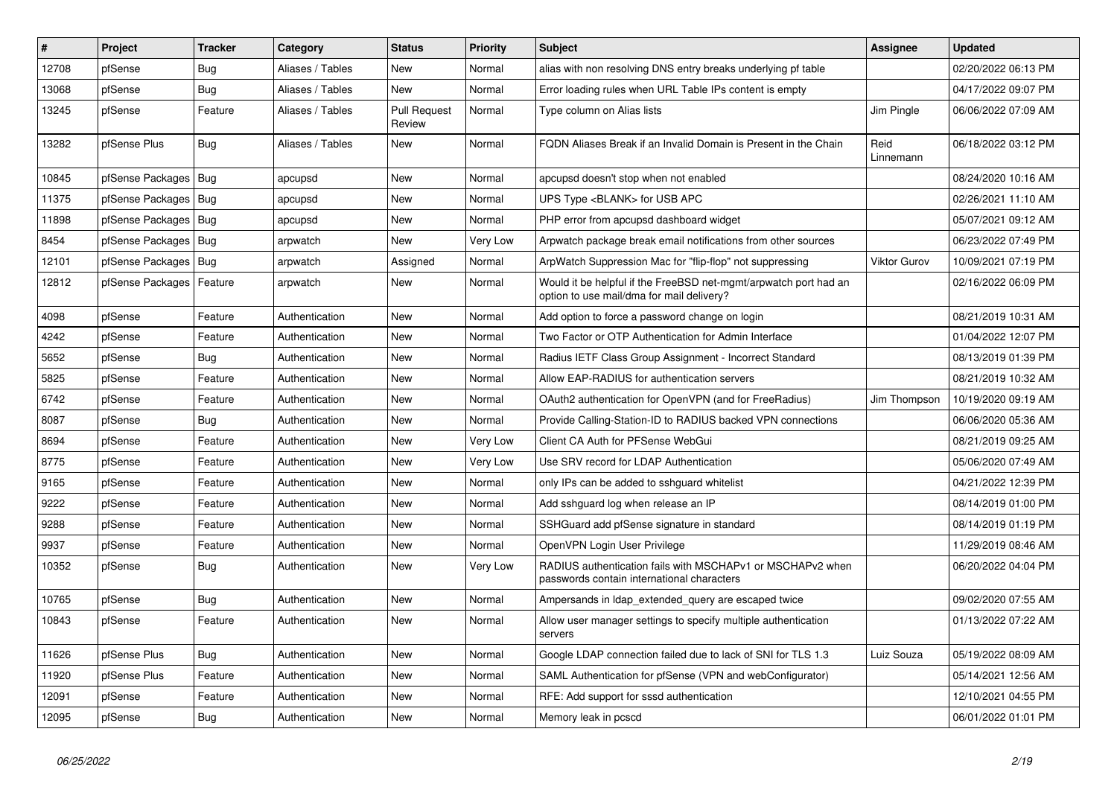| #     | <b>Project</b>             | <b>Tracker</b> | Category         | <b>Status</b>                 | Priority | <b>Subject</b>                                                                                                | <b>Assignee</b>     | <b>Updated</b>      |
|-------|----------------------------|----------------|------------------|-------------------------------|----------|---------------------------------------------------------------------------------------------------------------|---------------------|---------------------|
| 12708 | pfSense                    | Bug            | Aliases / Tables | <b>New</b>                    | Normal   | alias with non resolving DNS entry breaks underlying pf table                                                 |                     | 02/20/2022 06:13 PM |
| 13068 | pfSense                    | Bug            | Aliases / Tables | <b>New</b>                    | Normal   | Error loading rules when URL Table IPs content is empty                                                       |                     | 04/17/2022 09:07 PM |
| 13245 | pfSense                    | Feature        | Aliases / Tables | <b>Pull Request</b><br>Review | Normal   | Type column on Alias lists                                                                                    | Jim Pingle          | 06/06/2022 07:09 AM |
| 13282 | pfSense Plus               | Bug            | Aliases / Tables | New                           | Normal   | FQDN Aliases Break if an Invalid Domain is Present in the Chain                                               | Reid<br>Linnemann   | 06/18/2022 03:12 PM |
| 10845 | pfSense Packages   Bug     |                | apcupsd          | <b>New</b>                    | Normal   | apcupsd doesn't stop when not enabled                                                                         |                     | 08/24/2020 10:16 AM |
| 11375 | pfSense Packages           | Bug            | apcupsd          | New                           | Normal   | UPS Type <blank> for USB APC</blank>                                                                          |                     | 02/26/2021 11:10 AM |
| 11898 | pfSense Packages   Bug     |                | apcupsd          | New                           | Normal   | PHP error from apcupsd dashboard widget                                                                       |                     | 05/07/2021 09:12 AM |
| 8454  | pfSense Packages   Bug     |                | arpwatch         | New                           | Very Low | Arpwatch package break email notifications from other sources                                                 |                     | 06/23/2022 07:49 PM |
| 12101 | pfSense Packages           | Bug            | arpwatch         | Assigned                      | Normal   | ArpWatch Suppression Mac for "flip-flop" not suppressing                                                      | <b>Viktor Gurov</b> | 10/09/2021 07:19 PM |
| 12812 | pfSense Packages   Feature |                | arpwatch         | New                           | Normal   | Would it be helpful if the FreeBSD net-mgmt/arpwatch port had an<br>option to use mail/dma for mail delivery? |                     | 02/16/2022 06:09 PM |
| 4098  | pfSense                    | Feature        | Authentication   | <b>New</b>                    | Normal   | Add option to force a password change on login                                                                |                     | 08/21/2019 10:31 AM |
| 4242  | pfSense                    | Feature        | Authentication   | <b>New</b>                    | Normal   | Two Factor or OTP Authentication for Admin Interface                                                          |                     | 01/04/2022 12:07 PM |
| 5652  | pfSense                    | Bug            | Authentication   | <b>New</b>                    | Normal   | Radius IETF Class Group Assignment - Incorrect Standard                                                       |                     | 08/13/2019 01:39 PM |
| 5825  | pfSense                    | Feature        | Authentication   | New                           | Normal   | Allow EAP-RADIUS for authentication servers                                                                   |                     | 08/21/2019 10:32 AM |
| 6742  | pfSense                    | Feature        | Authentication   | <b>New</b>                    | Normal   | OAuth2 authentication for OpenVPN (and for FreeRadius)                                                        | Jim Thompson        | 10/19/2020 09:19 AM |
| 8087  | pfSense                    | <b>Bug</b>     | Authentication   | <b>New</b>                    | Normal   | Provide Calling-Station-ID to RADIUS backed VPN connections                                                   |                     | 06/06/2020 05:36 AM |
| 8694  | pfSense                    | Feature        | Authentication   | <b>New</b>                    | Very Low | Client CA Auth for PFSense WebGui                                                                             |                     | 08/21/2019 09:25 AM |
| 8775  | pfSense                    | Feature        | Authentication   | New                           | Very Low | Use SRV record for LDAP Authentication                                                                        |                     | 05/06/2020 07:49 AM |
| 9165  | pfSense                    | Feature        | Authentication   | <b>New</b>                    | Normal   | only IPs can be added to sshguard whitelist                                                                   |                     | 04/21/2022 12:39 PM |
| 9222  | pfSense                    | Feature        | Authentication   | <b>New</b>                    | Normal   | Add sshguard log when release an IP                                                                           |                     | 08/14/2019 01:00 PM |
| 9288  | pfSense                    | Feature        | Authentication   | <b>New</b>                    | Normal   | SSHGuard add pfSense signature in standard                                                                    |                     | 08/14/2019 01:19 PM |
| 9937  | pfSense                    | Feature        | Authentication   | <b>New</b>                    | Normal   | OpenVPN Login User Privilege                                                                                  |                     | 11/29/2019 08:46 AM |
| 10352 | pfSense                    | <b>Bug</b>     | Authentication   | New                           | Very Low | RADIUS authentication fails with MSCHAPv1 or MSCHAPv2 when<br>passwords contain international characters      |                     | 06/20/2022 04:04 PM |
| 10765 | pfSense                    | <b>Bug</b>     | Authentication   | <b>New</b>                    | Normal   | Ampersands in Idap_extended_query are escaped twice                                                           |                     | 09/02/2020 07:55 AM |
| 10843 | pfSense                    | Feature        | Authentication   | <b>New</b>                    | Normal   | Allow user manager settings to specify multiple authentication<br>servers                                     |                     | 01/13/2022 07:22 AM |
| 11626 | pfSense Plus               | <b>Bug</b>     | Authentication   | <b>New</b>                    | Normal   | Google LDAP connection failed due to lack of SNI for TLS 1.3                                                  | Luiz Souza          | 05/19/2022 08:09 AM |
| 11920 | pfSense Plus               | Feature        | Authentication   | <b>New</b>                    | Normal   | SAML Authentication for pfSense (VPN and webConfigurator)                                                     |                     | 05/14/2021 12:56 AM |
| 12091 | pfSense                    | Feature        | Authentication   | <b>New</b>                    | Normal   | RFE: Add support for sssd authentication                                                                      |                     | 12/10/2021 04:55 PM |
| 12095 | pfSense                    | Bug            | Authentication   | <b>New</b>                    | Normal   | Memory leak in pcscd                                                                                          |                     | 06/01/2022 01:01 PM |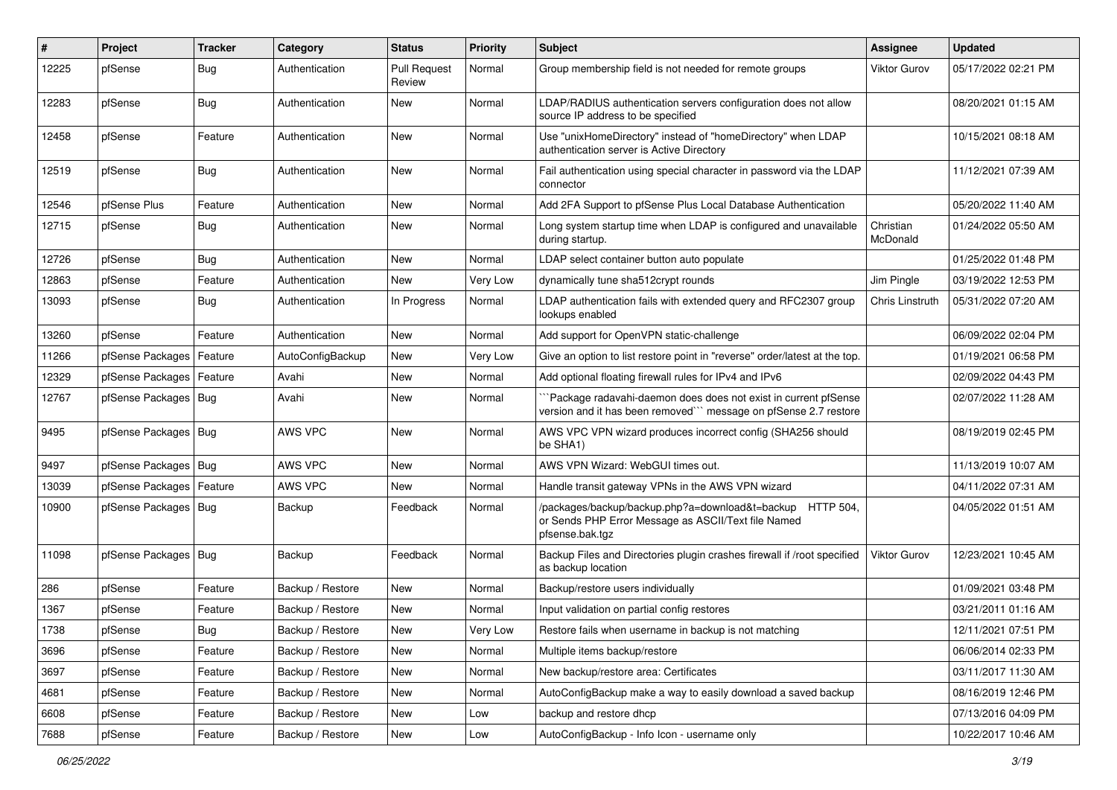| #     | Project                    | <b>Tracker</b> | Category         | <b>Status</b>                 | <b>Priority</b> | Subject                                                                                                                             | <b>Assignee</b>       | <b>Updated</b>      |
|-------|----------------------------|----------------|------------------|-------------------------------|-----------------|-------------------------------------------------------------------------------------------------------------------------------------|-----------------------|---------------------|
| 12225 | pfSense                    | <b>Bug</b>     | Authentication   | <b>Pull Request</b><br>Review | Normal          | Group membership field is not needed for remote groups                                                                              | <b>Viktor Gurov</b>   | 05/17/2022 02:21 PM |
| 12283 | pfSense                    | Bug            | Authentication   | New                           | Normal          | LDAP/RADIUS authentication servers configuration does not allow<br>source IP address to be specified                                |                       | 08/20/2021 01:15 AM |
| 12458 | pfSense                    | Feature        | Authentication   | <b>New</b>                    | Normal          | Use "unixHomeDirectory" instead of "homeDirectory" when LDAP<br>authentication server is Active Directory                           |                       | 10/15/2021 08:18 AM |
| 12519 | pfSense                    | Bug            | Authentication   | New                           | Normal          | Fail authentication using special character in password via the LDAP<br>connector                                                   |                       | 11/12/2021 07:39 AM |
| 12546 | pfSense Plus               | Feature        | Authentication   | New                           | Normal          | Add 2FA Support to pfSense Plus Local Database Authentication                                                                       |                       | 05/20/2022 11:40 AM |
| 12715 | pfSense                    | Bug            | Authentication   | New                           | Normal          | Long system startup time when LDAP is configured and unavailable<br>during startup.                                                 | Christian<br>McDonald | 01/24/2022 05:50 AM |
| 12726 | pfSense                    | <b>Bug</b>     | Authentication   | New                           | Normal          | LDAP select container button auto populate                                                                                          |                       | 01/25/2022 01:48 PM |
| 12863 | pfSense                    | Feature        | Authentication   | New                           | Very Low        | dynamically tune sha512crypt rounds                                                                                                 | Jim Pingle            | 03/19/2022 12:53 PM |
| 13093 | pfSense                    | Bug            | Authentication   | In Progress                   | Normal          | LDAP authentication fails with extended query and RFC2307 group<br>lookups enabled                                                  | Chris Linstruth       | 05/31/2022 07:20 AM |
| 13260 | pfSense                    | Feature        | Authentication   | <b>New</b>                    | Normal          | Add support for OpenVPN static-challenge                                                                                            |                       | 06/09/2022 02:04 PM |
| 11266 | pfSense Packages           | Feature        | AutoConfigBackup | New                           | Very Low        | Give an option to list restore point in "reverse" order/latest at the top.                                                          |                       | 01/19/2021 06:58 PM |
| 12329 | pfSense Packages   Feature |                | Avahi            | New                           | Normal          | Add optional floating firewall rules for IPv4 and IPv6                                                                              |                       | 02/09/2022 04:43 PM |
| 12767 | pfSense Packages   Bug     |                | Avahi            | New                           | Normal          | Package radavahi-daemon does does not exist in current pfSense<br>version and it has been removed"" message on pfSense 2.7 restore  |                       | 02/07/2022 11:28 AM |
| 9495  | pfSense Packages   Bug     |                | AWS VPC          | New                           | Normal          | AWS VPC VPN wizard produces incorrect config (SHA256 should<br>be SHA1)                                                             |                       | 08/19/2019 02:45 PM |
| 9497  | pfSense Packages   Bug     |                | AWS VPC          | New                           | Normal          | AWS VPN Wizard: WebGUI times out.                                                                                                   |                       | 11/13/2019 10:07 AM |
| 13039 | pfSense Packages           | Feature        | AWS VPC          | <b>New</b>                    | Normal          | Handle transit gateway VPNs in the AWS VPN wizard                                                                                   |                       | 04/11/2022 07:31 AM |
| 10900 | pfSense Packages   Bug     |                | Backup           | Feedback                      | Normal          | /packages/backup/backup.php?a=download&t=backup HTTP 504,<br>or Sends PHP Error Message as ASCII/Text file Named<br>pfsense.bak.tgz |                       | 04/05/2022 01:51 AM |
| 11098 | pfSense Packages   Bug     |                | Backup           | Feedback                      | Normal          | Backup Files and Directories plugin crashes firewall if /root specified<br>as backup location                                       | <b>Viktor Gurov</b>   | 12/23/2021 10:45 AM |
| 286   | pfSense                    | Feature        | Backup / Restore | New                           | Normal          | Backup/restore users individually                                                                                                   |                       | 01/09/2021 03:48 PM |
| 1367  | pfSense                    | Feature        | Backup / Restore | New                           | Normal          | Input validation on partial config restores                                                                                         |                       | 03/21/2011 01:16 AM |
| 1738  | pfSense                    | Bug            | Backup / Restore | New                           | Very Low        | Restore fails when username in backup is not matching                                                                               |                       | 12/11/2021 07:51 PM |
| 3696  | pfSense                    | Feature        | Backup / Restore | New                           | Normal          | Multiple items backup/restore                                                                                                       |                       | 06/06/2014 02:33 PM |
| 3697  | pfSense                    | Feature        | Backup / Restore | New                           | Normal          | New backup/restore area: Certificates                                                                                               |                       | 03/11/2017 11:30 AM |
| 4681  | pfSense                    | Feature        | Backup / Restore | New                           | Normal          | AutoConfigBackup make a way to easily download a saved backup                                                                       |                       | 08/16/2019 12:46 PM |
| 6608  | pfSense                    | Feature        | Backup / Restore | New                           | Low             | backup and restore dhcp                                                                                                             |                       | 07/13/2016 04:09 PM |
| 7688  | pfSense                    | Feature        | Backup / Restore | New                           | Low             | AutoConfigBackup - Info Icon - username only                                                                                        |                       | 10/22/2017 10:46 AM |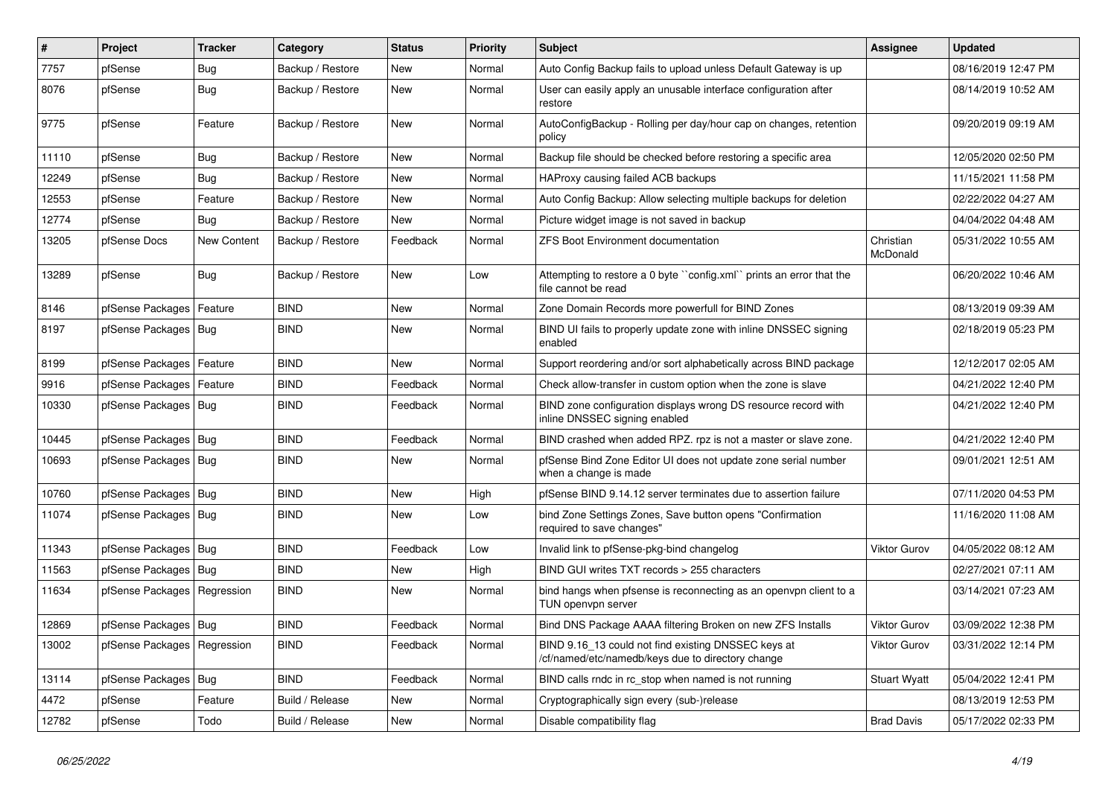| $\vert$ # | Project                       | <b>Tracker</b> | Category         | <b>Status</b> | <b>Priority</b> | Subject                                                                                                  | Assignee              | <b>Updated</b>      |
|-----------|-------------------------------|----------------|------------------|---------------|-----------------|----------------------------------------------------------------------------------------------------------|-----------------------|---------------------|
| 7757      | pfSense                       | <b>Bug</b>     | Backup / Restore | New           | Normal          | Auto Config Backup fails to upload unless Default Gateway is up                                          |                       | 08/16/2019 12:47 PM |
| 8076      | pfSense                       | Bug            | Backup / Restore | New           | Normal          | User can easily apply an unusable interface configuration after<br>restore                               |                       | 08/14/2019 10:52 AM |
| 9775      | pfSense                       | Feature        | Backup / Restore | <b>New</b>    | Normal          | AutoConfigBackup - Rolling per day/hour cap on changes, retention<br>policy                              |                       | 09/20/2019 09:19 AM |
| 11110     | pfSense                       | <b>Bug</b>     | Backup / Restore | New           | Normal          | Backup file should be checked before restoring a specific area                                           |                       | 12/05/2020 02:50 PM |
| 12249     | pfSense                       | Bug            | Backup / Restore | New           | Normal          | HAProxy causing failed ACB backups                                                                       |                       | 11/15/2021 11:58 PM |
| 12553     | pfSense                       | Feature        | Backup / Restore | New           | Normal          | Auto Config Backup: Allow selecting multiple backups for deletion                                        |                       | 02/22/2022 04:27 AM |
| 12774     | pfSense                       | Bug            | Backup / Restore | New           | Normal          | Picture widget image is not saved in backup                                                              |                       | 04/04/2022 04:48 AM |
| 13205     | pfSense Docs                  | New Content    | Backup / Restore | Feedback      | Normal          | <b>ZFS Boot Environment documentation</b>                                                                | Christian<br>McDonald | 05/31/2022 10:55 AM |
| 13289     | pfSense                       | Bug            | Backup / Restore | New           | Low             | Attempting to restore a 0 byte "config.xml" prints an error that the<br>file cannot be read              |                       | 06/20/2022 10:46 AM |
| 8146      | pfSense Packages              | Feature        | <b>BIND</b>      | New           | Normal          | Zone Domain Records more powerfull for BIND Zones                                                        |                       | 08/13/2019 09:39 AM |
| 8197      | pfSense Packages   Bug        |                | <b>BIND</b>      | New           | Normal          | BIND UI fails to properly update zone with inline DNSSEC signing<br>enabled                              |                       | 02/18/2019 05:23 PM |
| 8199      | pfSense Packages              | Feature        | <b>BIND</b>      | New           | Normal          | Support reordering and/or sort alphabetically across BIND package                                        |                       | 12/12/2017 02:05 AM |
| 9916      | pfSense Packages   Feature    |                | <b>BIND</b>      | Feedback      | Normal          | Check allow-transfer in custom option when the zone is slave                                             |                       | 04/21/2022 12:40 PM |
| 10330     | pfSense Packages Bug          |                | <b>BIND</b>      | Feedback      | Normal          | BIND zone configuration displays wrong DS resource record with<br>inline DNSSEC signing enabled          |                       | 04/21/2022 12:40 PM |
| 10445     | pfSense Packages   Bug        |                | <b>BIND</b>      | Feedback      | Normal          | BIND crashed when added RPZ. rpz is not a master or slave zone.                                          |                       | 04/21/2022 12:40 PM |
| 10693     | pfSense Packages   Bug        |                | <b>BIND</b>      | New           | Normal          | pfSense Bind Zone Editor UI does not update zone serial number<br>when a change is made                  |                       | 09/01/2021 12:51 AM |
| 10760     | pfSense Packages   Bug        |                | <b>BIND</b>      | <b>New</b>    | High            | pfSense BIND 9.14.12 server terminates due to assertion failure                                          |                       | 07/11/2020 04:53 PM |
| 11074     | pfSense Packages   Bug        |                | BIND             | New           | Low             | bind Zone Settings Zones, Save button opens "Confirmation<br>required to save changes"                   |                       | 11/16/2020 11:08 AM |
| 11343     | pfSense Packages   Bug        |                | <b>BIND</b>      | Feedback      | Low             | Invalid link to pfSense-pkg-bind changelog                                                               | Viktor Gurov          | 04/05/2022 08:12 AM |
| 11563     | pfSense Packages   Bug        |                | <b>BIND</b>      | New           | High            | BIND GUI writes TXT records > 255 characters                                                             |                       | 02/27/2021 07:11 AM |
| 11634     | pfSense Packages   Regression |                | <b>BIND</b>      | New           | Normal          | bind hangs when pfsense is reconnecting as an openvpn client to a<br>TUN openvpn server                  |                       | 03/14/2021 07:23 AM |
| 12869     | pfSense Packages   Bug        |                | <b>BIND</b>      | Feedback      | Normal          | Bind DNS Package AAAA filtering Broken on new ZFS Installs                                               | <b>Viktor Gurov</b>   | 03/09/2022 12:38 PM |
| 13002     | pfSense Packages   Regression |                | <b>BIND</b>      | Feedback      | Normal          | BIND 9.16_13 could not find existing DNSSEC keys at<br>/cf/named/etc/namedb/keys due to directory change | Viktor Gurov          | 03/31/2022 12:14 PM |
| 13114     | pfSense Packages   Bug        |                | <b>BIND</b>      | Feedback      | Normal          | BIND calls rndc in rc_stop when named is not running                                                     | <b>Stuart Wyatt</b>   | 05/04/2022 12:41 PM |
| 4472      | pfSense                       | Feature        | Build / Release  | New           | Normal          | Cryptographically sign every (sub-)release                                                               |                       | 08/13/2019 12:53 PM |
| 12782     | pfSense                       | Todo           | Build / Release  | New           | Normal          | Disable compatibility flag                                                                               | <b>Brad Davis</b>     | 05/17/2022 02:33 PM |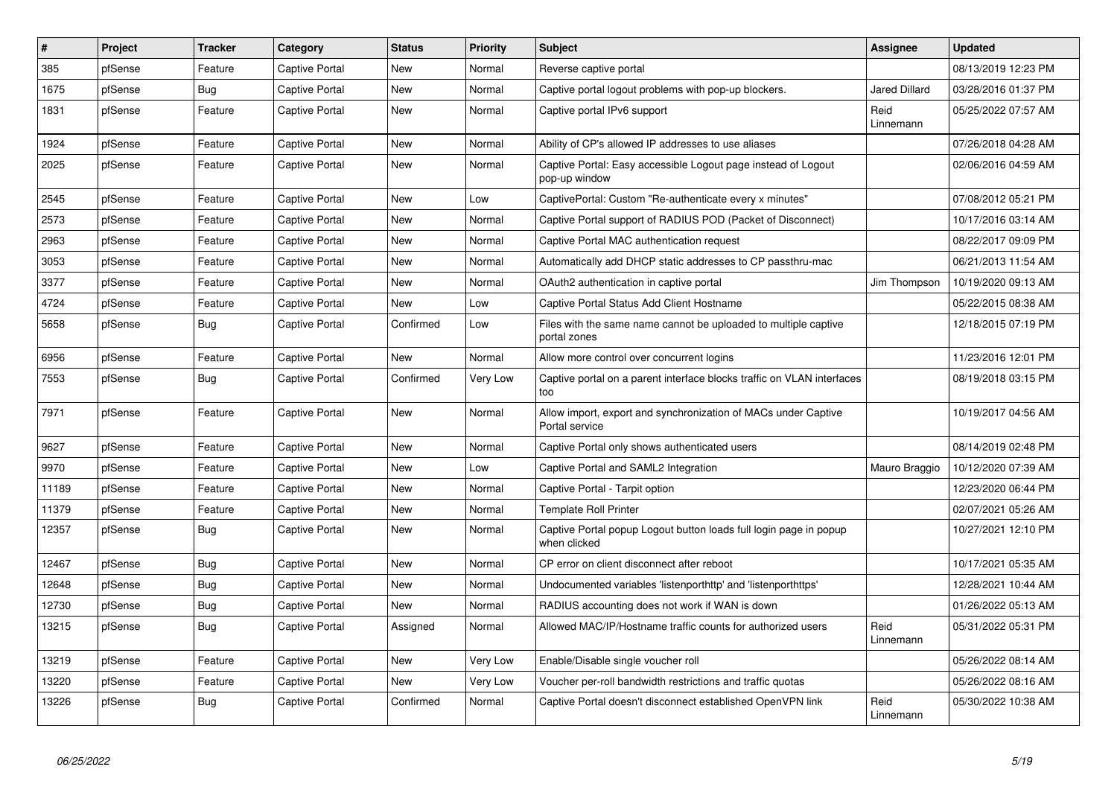| $\vert$ # | Project | <b>Tracker</b> | Category              | <b>Status</b> | Priority | <b>Subject</b>                                                                    | <b>Assignee</b>      | <b>Updated</b>      |
|-----------|---------|----------------|-----------------------|---------------|----------|-----------------------------------------------------------------------------------|----------------------|---------------------|
| 385       | pfSense | Feature        | Captive Portal        | <b>New</b>    | Normal   | Reverse captive portal                                                            |                      | 08/13/2019 12:23 PM |
| 1675      | pfSense | Bug            | <b>Captive Portal</b> | <b>New</b>    | Normal   | Captive portal logout problems with pop-up blockers.                              | <b>Jared Dillard</b> | 03/28/2016 01:37 PM |
| 1831      | pfSense | Feature        | <b>Captive Portal</b> | <b>New</b>    | Normal   | Captive portal IPv6 support                                                       | Reid<br>Linnemann    | 05/25/2022 07:57 AM |
| 1924      | pfSense | Feature        | <b>Captive Portal</b> | <b>New</b>    | Normal   | Ability of CP's allowed IP addresses to use aliases                               |                      | 07/26/2018 04:28 AM |
| 2025      | pfSense | Feature        | Captive Portal        | <b>New</b>    | Normal   | Captive Portal: Easy accessible Logout page instead of Logout<br>pop-up window    |                      | 02/06/2016 04:59 AM |
| 2545      | pfSense | Feature        | <b>Captive Portal</b> | <b>New</b>    | Low      | CaptivePortal: Custom "Re-authenticate every x minutes"                           |                      | 07/08/2012 05:21 PM |
| 2573      | pfSense | Feature        | Captive Portal        | <b>New</b>    | Normal   | Captive Portal support of RADIUS POD (Packet of Disconnect)                       |                      | 10/17/2016 03:14 AM |
| 2963      | pfSense | Feature        | Captive Portal        | New           | Normal   | Captive Portal MAC authentication request                                         |                      | 08/22/2017 09:09 PM |
| 3053      | pfSense | Feature        | <b>Captive Portal</b> | <b>New</b>    | Normal   | Automatically add DHCP static addresses to CP passthru-mac                        |                      | 06/21/2013 11:54 AM |
| 3377      | pfSense | Feature        | Captive Portal        | New           | Normal   | OAuth2 authentication in captive portal                                           | Jim Thompson         | 10/19/2020 09:13 AM |
| 4724      | pfSense | Feature        | Captive Portal        | New           | Low      | Captive Portal Status Add Client Hostname                                         |                      | 05/22/2015 08:38 AM |
| 5658      | pfSense | Bug            | Captive Portal        | Confirmed     | Low      | Files with the same name cannot be uploaded to multiple captive<br>portal zones   |                      | 12/18/2015 07:19 PM |
| 6956      | pfSense | Feature        | <b>Captive Portal</b> | New           | Normal   | Allow more control over concurrent logins                                         |                      | 11/23/2016 12:01 PM |
| 7553      | pfSense | Bug            | Captive Portal        | Confirmed     | Very Low | Captive portal on a parent interface blocks traffic on VLAN interfaces<br>too     |                      | 08/19/2018 03:15 PM |
| 7971      | pfSense | Feature        | <b>Captive Portal</b> | <b>New</b>    | Normal   | Allow import, export and synchronization of MACs under Captive<br>Portal service  |                      | 10/19/2017 04:56 AM |
| 9627      | pfSense | Feature        | <b>Captive Portal</b> | <b>New</b>    | Normal   | Captive Portal only shows authenticated users                                     |                      | 08/14/2019 02:48 PM |
| 9970      | pfSense | Feature        | <b>Captive Portal</b> | <b>New</b>    | Low      | Captive Portal and SAML2 Integration                                              | Mauro Braggio        | 10/12/2020 07:39 AM |
| 11189     | pfSense | Feature        | Captive Portal        | New           | Normal   | Captive Portal - Tarpit option                                                    |                      | 12/23/2020 06:44 PM |
| 11379     | pfSense | Feature        | <b>Captive Portal</b> | New           | Normal   | <b>Template Roll Printer</b>                                                      |                      | 02/07/2021 05:26 AM |
| 12357     | pfSense | Bug            | Captive Portal        | <b>New</b>    | Normal   | Captive Portal popup Logout button loads full login page in popup<br>when clicked |                      | 10/27/2021 12:10 PM |
| 12467     | pfSense | Bug            | <b>Captive Portal</b> | <b>New</b>    | Normal   | CP error on client disconnect after reboot                                        |                      | 10/17/2021 05:35 AM |
| 12648     | pfSense | Bug            | <b>Captive Portal</b> | <b>New</b>    | Normal   | Undocumented variables 'listenporthttp' and 'listenporthttps'                     |                      | 12/28/2021 10:44 AM |
| 12730     | pfSense | <b>Bug</b>     | Captive Portal        | New           | Normal   | RADIUS accounting does not work if WAN is down                                    |                      | 01/26/2022 05:13 AM |
| 13215     | pfSense | Bug            | Captive Portal        | Assigned      | Normal   | Allowed MAC/IP/Hostname traffic counts for authorized users                       | Reid<br>Linnemann    | 05/31/2022 05:31 PM |
| 13219     | pfSense | Feature        | <b>Captive Portal</b> | <b>New</b>    | Very Low | Enable/Disable single voucher roll                                                |                      | 05/26/2022 08:14 AM |
| 13220     | pfSense | Feature        | Captive Portal        | <b>New</b>    | Very Low | Voucher per-roll bandwidth restrictions and traffic quotas                        |                      | 05/26/2022 08:16 AM |
| 13226     | pfSense | <b>Bug</b>     | <b>Captive Portal</b> | Confirmed     | Normal   | Captive Portal doesn't disconnect established OpenVPN link                        | Reid<br>Linnemann    | 05/30/2022 10:38 AM |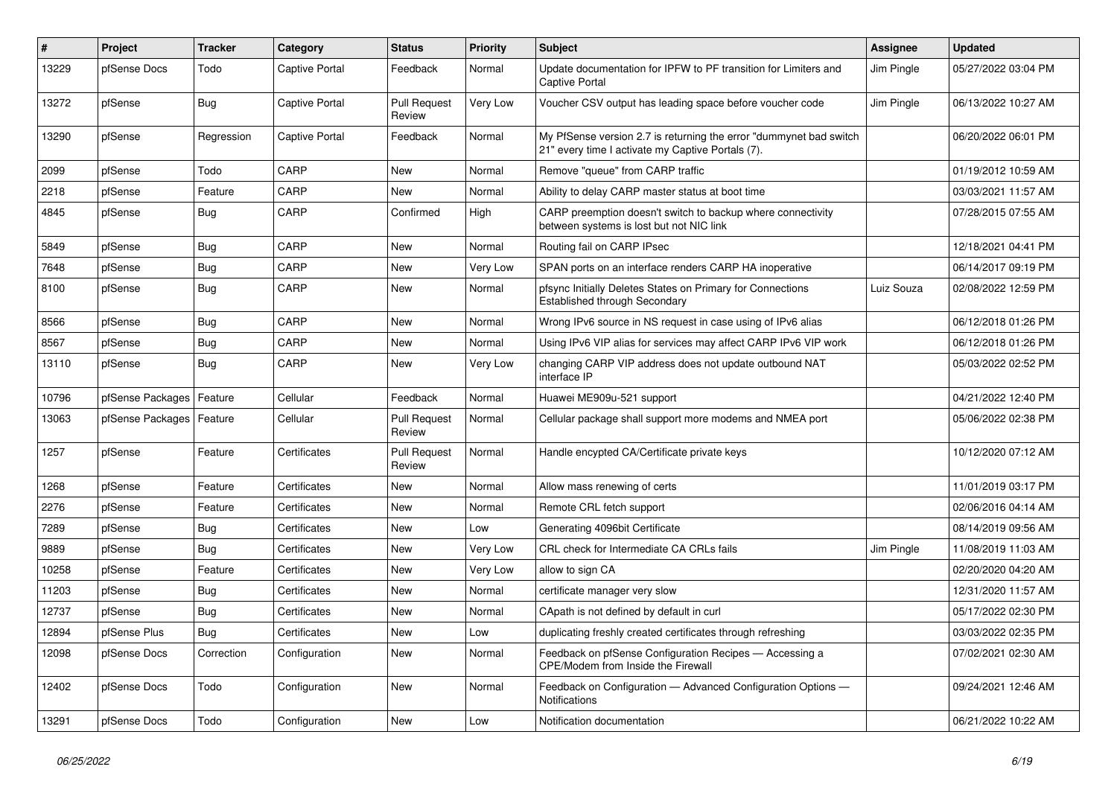| #     | <b>Project</b>   | <b>Tracker</b> | Category              | <b>Status</b>                 | Priority | <b>Subject</b>                                                                                                          | <b>Assignee</b> | <b>Updated</b>      |
|-------|------------------|----------------|-----------------------|-------------------------------|----------|-------------------------------------------------------------------------------------------------------------------------|-----------------|---------------------|
| 13229 | pfSense Docs     | Todo           | Captive Portal        | Feedback                      | Normal   | Update documentation for IPFW to PF transition for Limiters and<br><b>Captive Portal</b>                                | Jim Pingle      | 05/27/2022 03:04 PM |
| 13272 | pfSense          | Bug            | <b>Captive Portal</b> | <b>Pull Request</b><br>Review | Very Low | Voucher CSV output has leading space before voucher code                                                                | Jim Pingle      | 06/13/2022 10:27 AM |
| 13290 | pfSense          | Regression     | <b>Captive Portal</b> | Feedback                      | Normal   | My PfSense version 2.7 is returning the error "dummynet bad switch<br>21" every time I activate my Captive Portals (7). |                 | 06/20/2022 06:01 PM |
| 2099  | pfSense          | Todo           | CARP                  | <b>New</b>                    | Normal   | Remove "queue" from CARP traffic                                                                                        |                 | 01/19/2012 10:59 AM |
| 2218  | pfSense          | Feature        | CARP                  | <b>New</b>                    | Normal   | Ability to delay CARP master status at boot time                                                                        |                 | 03/03/2021 11:57 AM |
| 4845  | pfSense          | Bug            | CARP                  | Confirmed                     | High     | CARP preemption doesn't switch to backup where connectivity<br>between systems is lost but not NIC link                 |                 | 07/28/2015 07:55 AM |
| 5849  | pfSense          | <b>Bug</b>     | CARP                  | <b>New</b>                    | Normal   | Routing fail on CARP IPsec                                                                                              |                 | 12/18/2021 04:41 PM |
| 7648  | pfSense          | <b>Bug</b>     | CARP                  | <b>New</b>                    | Very Low | SPAN ports on an interface renders CARP HA inoperative                                                                  |                 | 06/14/2017 09:19 PM |
| 8100  | pfSense          | Bug            | CARP                  | <b>New</b>                    | Normal   | pfsync Initially Deletes States on Primary for Connections<br>Established through Secondary                             | Luiz Souza      | 02/08/2022 12:59 PM |
| 8566  | pfSense          | <b>Bug</b>     | CARP                  | <b>New</b>                    | Normal   | Wrong IPv6 source in NS request in case using of IPv6 alias                                                             |                 | 06/12/2018 01:26 PM |
| 8567  | pfSense          | <b>Bug</b>     | CARP                  | <b>New</b>                    | Normal   | Using IPv6 VIP alias for services may affect CARP IPv6 VIP work                                                         |                 | 06/12/2018 01:26 PM |
| 13110 | pfSense          | Bug            | CARP                  | <b>New</b>                    | Very Low | changing CARP VIP address does not update outbound NAT<br>interface IP                                                  |                 | 05/03/2022 02:52 PM |
| 10796 | pfSense Packages | Feature        | Cellular              | Feedback                      | Normal   | Huawei ME909u-521 support                                                                                               |                 | 04/21/2022 12:40 PM |
| 13063 | pfSense Packages | Feature        | Cellular              | <b>Pull Request</b><br>Review | Normal   | Cellular package shall support more modems and NMEA port                                                                |                 | 05/06/2022 02:38 PM |
| 1257  | pfSense          | Feature        | Certificates          | <b>Pull Request</b><br>Review | Normal   | Handle encypted CA/Certificate private keys                                                                             |                 | 10/12/2020 07:12 AM |
| 1268  | pfSense          | Feature        | Certificates          | <b>New</b>                    | Normal   | Allow mass renewing of certs                                                                                            |                 | 11/01/2019 03:17 PM |
| 2276  | pfSense          | Feature        | Certificates          | <b>New</b>                    | Normal   | Remote CRL fetch support                                                                                                |                 | 02/06/2016 04:14 AM |
| 7289  | pfSense          | Bug            | Certificates          | <b>New</b>                    | Low      | Generating 4096bit Certificate                                                                                          |                 | 08/14/2019 09:56 AM |
| 9889  | pfSense          | Bug            | Certificates          | <b>New</b>                    | Very Low | CRL check for Intermediate CA CRLs fails                                                                                | Jim Pingle      | 11/08/2019 11:03 AM |
| 10258 | pfSense          | Feature        | Certificates          | <b>New</b>                    | Very Low | allow to sign CA                                                                                                        |                 | 02/20/2020 04:20 AM |
| 11203 | pfSense          | <b>Bug</b>     | Certificates          | New                           | Normal   | certificate manager very slow                                                                                           |                 | 12/31/2020 11:57 AM |
| 12737 | pfSense          | <b>Bug</b>     | Certificates          | <b>New</b>                    | Normal   | CApath is not defined by default in curl                                                                                |                 | 05/17/2022 02:30 PM |
| 12894 | pfSense Plus     | Bug            | Certificates          | <b>New</b>                    | Low      | duplicating freshly created certificates through refreshing                                                             |                 | 03/03/2022 02:35 PM |
| 12098 | pfSense Docs     | Correction     | Configuration         | <b>New</b>                    | Normal   | Feedback on pfSense Configuration Recipes - Accessing a<br>CPE/Modem from Inside the Firewall                           |                 | 07/02/2021 02:30 AM |
| 12402 | pfSense Docs     | Todo           | Configuration         | <b>New</b>                    | Normal   | Feedback on Configuration — Advanced Configuration Options —<br><b>Notifications</b>                                    |                 | 09/24/2021 12:46 AM |
| 13291 | pfSense Docs     | Todo           | Configuration         | <b>New</b>                    | Low      | Notification documentation                                                                                              |                 | 06/21/2022 10:22 AM |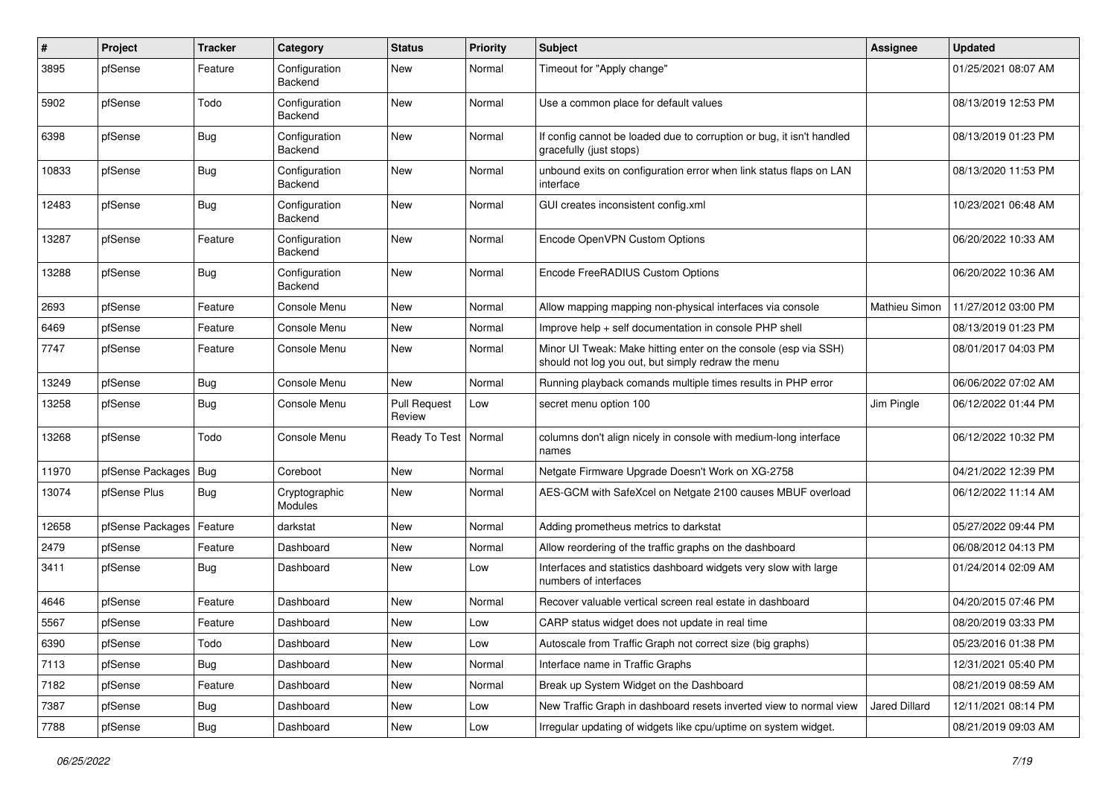| #     | Project          | <b>Tracker</b> | Category                        | <b>Status</b>                 | <b>Priority</b> | Subject                                                                                                               | Assignee             | <b>Updated</b>      |
|-------|------------------|----------------|---------------------------------|-------------------------------|-----------------|-----------------------------------------------------------------------------------------------------------------------|----------------------|---------------------|
| 3895  | pfSense          | Feature        | Configuration<br>Backend        | <b>New</b>                    | Normal          | Timeout for "Apply change"                                                                                            |                      | 01/25/2021 08:07 AM |
| 5902  | pfSense          | Todo           | Configuration<br>Backend        | New                           | Normal          | Use a common place for default values                                                                                 |                      | 08/13/2019 12:53 PM |
| 6398  | pfSense          | <b>Bug</b>     | Configuration<br>Backend        | <b>New</b>                    | Normal          | If config cannot be loaded due to corruption or bug, it isn't handled<br>gracefully (just stops)                      |                      | 08/13/2019 01:23 PM |
| 10833 | pfSense          | Bug            | Configuration<br>Backend        | New                           | Normal          | unbound exits on configuration error when link status flaps on LAN<br>interface                                       |                      | 08/13/2020 11:53 PM |
| 12483 | pfSense          | Bug            | Configuration<br><b>Backend</b> | <b>New</b>                    | Normal          | GUI creates inconsistent config.xml                                                                                   |                      | 10/23/2021 06:48 AM |
| 13287 | pfSense          | Feature        | Configuration<br>Backend        | <b>New</b>                    | Normal          | Encode OpenVPN Custom Options                                                                                         |                      | 06/20/2022 10:33 AM |
| 13288 | pfSense          | Bug            | Configuration<br>Backend        | <b>New</b>                    | Normal          | Encode FreeRADIUS Custom Options                                                                                      |                      | 06/20/2022 10:36 AM |
| 2693  | pfSense          | Feature        | Console Menu                    | <b>New</b>                    | Normal          | Allow mapping mapping non-physical interfaces via console                                                             | <b>Mathieu Simon</b> | 11/27/2012 03:00 PM |
| 6469  | pfSense          | Feature        | Console Menu                    | <b>New</b>                    | Normal          | Improve help + self documentation in console PHP shell                                                                |                      | 08/13/2019 01:23 PM |
| 7747  | pfSense          | Feature        | Console Menu                    | New                           | Normal          | Minor UI Tweak: Make hitting enter on the console (esp via SSH)<br>should not log you out, but simply redraw the menu |                      | 08/01/2017 04:03 PM |
| 13249 | pfSense          | <b>Bug</b>     | Console Menu                    | <b>New</b>                    | Normal          | Running playback comands multiple times results in PHP error                                                          |                      | 06/06/2022 07:02 AM |
| 13258 | pfSense          | <b>Bug</b>     | Console Menu                    | <b>Pull Request</b><br>Review | Low             | secret menu option 100                                                                                                | Jim Pingle           | 06/12/2022 01:44 PM |
| 13268 | pfSense          | Todo           | Console Menu                    | Ready To Test                 | Normal          | columns don't align nicely in console with medium-long interface<br>names                                             |                      | 06/12/2022 10:32 PM |
| 11970 | pfSense Packages | Bug            | Coreboot                        | <b>New</b>                    | Normal          | Netgate Firmware Upgrade Doesn't Work on XG-2758                                                                      |                      | 04/21/2022 12:39 PM |
| 13074 | pfSense Plus     | Bug            | Cryptographic<br>Modules        | New                           | Normal          | AES-GCM with SafeXcel on Netgate 2100 causes MBUF overload                                                            |                      | 06/12/2022 11:14 AM |
| 12658 | pfSense Packages | Feature        | darkstat                        | <b>New</b>                    | Normal          | Adding prometheus metrics to darkstat                                                                                 |                      | 05/27/2022 09:44 PM |
| 2479  | pfSense          | Feature        | Dashboard                       | New                           | Normal          | Allow reordering of the traffic graphs on the dashboard                                                               |                      | 06/08/2012 04:13 PM |
| 3411  | pfSense          | Bug            | Dashboard                       | New                           | Low             | Interfaces and statistics dashboard widgets very slow with large<br>numbers of interfaces                             |                      | 01/24/2014 02:09 AM |
| 4646  | pfSense          | Feature        | Dashboard                       | <b>New</b>                    | Normal          | Recover valuable vertical screen real estate in dashboard                                                             |                      | 04/20/2015 07:46 PM |
| 5567  | pfSense          | Feature        | Dashboard                       | New                           | Low             | CARP status widget does not update in real time                                                                       |                      | 08/20/2019 03:33 PM |
| 6390  | pfSense          | Todo           | Dashboard                       | New                           | Low             | Autoscale from Traffic Graph not correct size (big graphs)                                                            |                      | 05/23/2016 01:38 PM |
| 7113  | pfSense          | <b>Bug</b>     | Dashboard                       | New                           | Normal          | Interface name in Traffic Graphs                                                                                      |                      | 12/31/2021 05:40 PM |
| 7182  | pfSense          | Feature        | Dashboard                       | New                           | Normal          | Break up System Widget on the Dashboard                                                                               |                      | 08/21/2019 08:59 AM |
| 7387  | pfSense          | Bug            | Dashboard                       | New                           | Low             | New Traffic Graph in dashboard resets inverted view to normal view                                                    | Jared Dillard        | 12/11/2021 08:14 PM |
| 7788  | pfSense          | <b>Bug</b>     | Dashboard                       | New                           | Low             | Irregular updating of widgets like cpu/uptime on system widget.                                                       |                      | 08/21/2019 09:03 AM |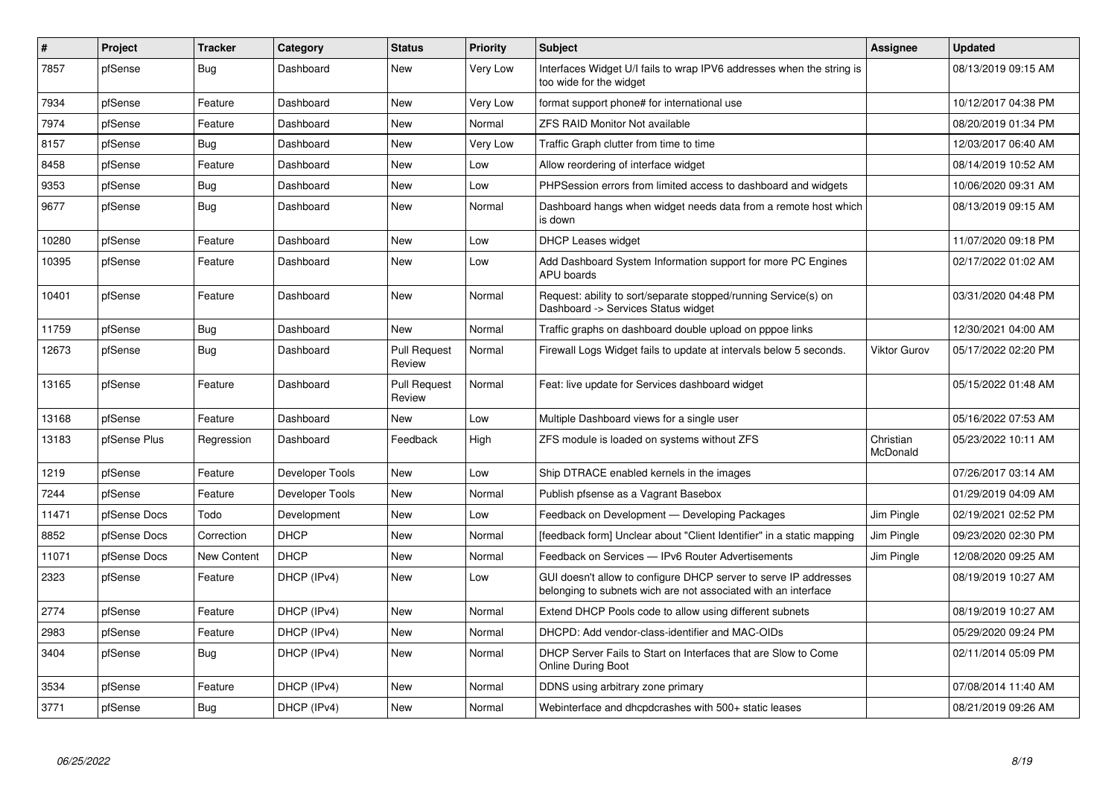| $\vert$ # | Project      | <b>Tracker</b>     | Category        | <b>Status</b>                 | <b>Priority</b> | <b>Subject</b>                                                                                                                     | Assignee              | <b>Updated</b>      |
|-----------|--------------|--------------------|-----------------|-------------------------------|-----------------|------------------------------------------------------------------------------------------------------------------------------------|-----------------------|---------------------|
| 7857      | pfSense      | <b>Bug</b>         | Dashboard       | <b>New</b>                    | Very Low        | Interfaces Widget U/I fails to wrap IPV6 addresses when the string is<br>too wide for the widget                                   |                       | 08/13/2019 09:15 AM |
| 7934      | pfSense      | Feature            | Dashboard       | <b>New</b>                    | Very Low        | format support phone# for international use                                                                                        |                       | 10/12/2017 04:38 PM |
| 7974      | pfSense      | Feature            | Dashboard       | <b>New</b>                    | Normal          | <b>ZFS RAID Monitor Not available</b>                                                                                              |                       | 08/20/2019 01:34 PM |
| 8157      | pfSense      | Bug                | Dashboard       | <b>New</b>                    | Very Low        | Traffic Graph clutter from time to time                                                                                            |                       | 12/03/2017 06:40 AM |
| 8458      | pfSense      | Feature            | Dashboard       | <b>New</b>                    | Low             | Allow reordering of interface widget                                                                                               |                       | 08/14/2019 10:52 AM |
| 9353      | pfSense      | <b>Bug</b>         | Dashboard       | <b>New</b>                    | Low             | PHPSession errors from limited access to dashboard and widgets                                                                     |                       | 10/06/2020 09:31 AM |
| 9677      | pfSense      | Bug                | Dashboard       | New                           | Normal          | Dashboard hangs when widget needs data from a remote host which<br>is down                                                         |                       | 08/13/2019 09:15 AM |
| 10280     | pfSense      | Feature            | Dashboard       | New                           | Low             | <b>DHCP Leases widget</b>                                                                                                          |                       | 11/07/2020 09:18 PM |
| 10395     | pfSense      | Feature            | Dashboard       | New                           | Low             | Add Dashboard System Information support for more PC Engines<br>APU boards                                                         |                       | 02/17/2022 01:02 AM |
| 10401     | pfSense      | Feature            | Dashboard       | New                           | Normal          | Request: ability to sort/separate stopped/running Service(s) on<br>Dashboard -> Services Status widget                             |                       | 03/31/2020 04:48 PM |
| 11759     | pfSense      | Bug                | Dashboard       | <b>New</b>                    | Normal          | Traffic graphs on dashboard double upload on pppoe links                                                                           |                       | 12/30/2021 04:00 AM |
| 12673     | pfSense      | <b>Bug</b>         | Dashboard       | <b>Pull Request</b><br>Review | Normal          | Firewall Logs Widget fails to update at intervals below 5 seconds.                                                                 | <b>Viktor Gurov</b>   | 05/17/2022 02:20 PM |
| 13165     | pfSense      | Feature            | Dashboard       | <b>Pull Request</b><br>Review | Normal          | Feat: live update for Services dashboard widget                                                                                    |                       | 05/15/2022 01:48 AM |
| 13168     | pfSense      | Feature            | Dashboard       | <b>New</b>                    | Low             | Multiple Dashboard views for a single user                                                                                         |                       | 05/16/2022 07:53 AM |
| 13183     | pfSense Plus | Regression         | Dashboard       | Feedback                      | High            | ZFS module is loaded on systems without ZFS                                                                                        | Christian<br>McDonald | 05/23/2022 10:11 AM |
| 1219      | pfSense      | Feature            | Developer Tools | New                           | Low             | Ship DTRACE enabled kernels in the images                                                                                          |                       | 07/26/2017 03:14 AM |
| 7244      | pfSense      | Feature            | Developer Tools | <b>New</b>                    | Normal          | Publish pfsense as a Vagrant Basebox                                                                                               |                       | 01/29/2019 04:09 AM |
| 11471     | pfSense Docs | Todo               | Development     | New                           | Low             | Feedback on Development - Developing Packages                                                                                      | Jim Pingle            | 02/19/2021 02:52 PM |
| 8852      | pfSense Docs | Correction         | <b>DHCP</b>     | New                           | Normal          | [feedback form] Unclear about "Client Identifier" in a static mapping                                                              | Jim Pingle            | 09/23/2020 02:30 PM |
| 11071     | pfSense Docs | <b>New Content</b> | <b>DHCP</b>     | New                           | Normal          | Feedback on Services - IPv6 Router Advertisements                                                                                  | Jim Pingle            | 12/08/2020 09:25 AM |
| 2323      | pfSense      | Feature            | DHCP (IPv4)     | New                           | Low             | GUI doesn't allow to configure DHCP server to serve IP addresses<br>belonging to subnets wich are not associated with an interface |                       | 08/19/2019 10:27 AM |
| 2774      | pfSense      | Feature            | DHCP (IPv4)     | New                           | Normal          | Extend DHCP Pools code to allow using different subnets                                                                            |                       | 08/19/2019 10:27 AM |
| 2983      | pfSense      | Feature            | DHCP (IPv4)     | New                           | Normal          | DHCPD: Add vendor-class-identifier and MAC-OIDs                                                                                    |                       | 05/29/2020 09:24 PM |
| 3404      | pfSense      | <b>Bug</b>         | DHCP (IPv4)     | <b>New</b>                    | Normal          | DHCP Server Fails to Start on Interfaces that are Slow to Come<br><b>Online During Boot</b>                                        |                       | 02/11/2014 05:09 PM |
| 3534      | pfSense      | Feature            | DHCP (IPv4)     | New                           | Normal          | DDNS using arbitrary zone primary                                                                                                  |                       | 07/08/2014 11:40 AM |
| 3771      | pfSense      | <b>Bug</b>         | DHCP (IPv4)     | <b>New</b>                    | Normal          | Webinterface and dhcpdcrashes with 500+ static leases                                                                              |                       | 08/21/2019 09:26 AM |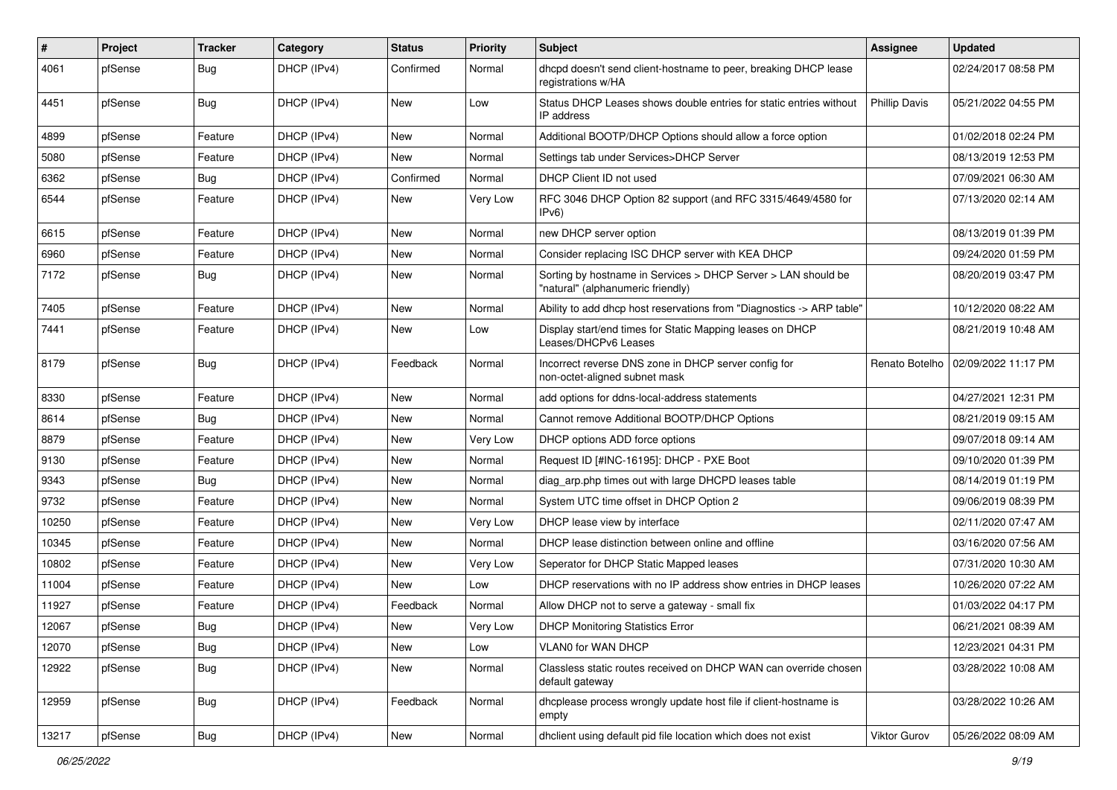| $\pmb{\#}$ | Project | <b>Tracker</b> | Category    | <b>Status</b> | <b>Priority</b> | <b>Subject</b>                                                                                     | <b>Assignee</b>      | <b>Updated</b>      |
|------------|---------|----------------|-------------|---------------|-----------------|----------------------------------------------------------------------------------------------------|----------------------|---------------------|
| 4061       | pfSense | Bug            | DHCP (IPv4) | Confirmed     | Normal          | dhcpd doesn't send client-hostname to peer, breaking DHCP lease<br>registrations w/HA              |                      | 02/24/2017 08:58 PM |
| 4451       | pfSense | Bug            | DHCP (IPv4) | New           | Low             | Status DHCP Leases shows double entries for static entries without<br>IP address                   | <b>Phillip Davis</b> | 05/21/2022 04:55 PM |
| 4899       | pfSense | Feature        | DHCP (IPv4) | <b>New</b>    | Normal          | Additional BOOTP/DHCP Options should allow a force option                                          |                      | 01/02/2018 02:24 PM |
| 5080       | pfSense | Feature        | DHCP (IPv4) | New           | Normal          | Settings tab under Services>DHCP Server                                                            |                      | 08/13/2019 12:53 PM |
| 6362       | pfSense | Bug            | DHCP (IPv4) | Confirmed     | Normal          | DHCP Client ID not used                                                                            |                      | 07/09/2021 06:30 AM |
| 6544       | pfSense | Feature        | DHCP (IPv4) | New           | Very Low        | RFC 3046 DHCP Option 82 support (and RFC 3315/4649/4580 for<br>IPv6                                |                      | 07/13/2020 02:14 AM |
| 6615       | pfSense | Feature        | DHCP (IPv4) | <b>New</b>    | Normal          | new DHCP server option                                                                             |                      | 08/13/2019 01:39 PM |
| 6960       | pfSense | Feature        | DHCP (IPv4) | New           | Normal          | Consider replacing ISC DHCP server with KEA DHCP                                                   |                      | 09/24/2020 01:59 PM |
| 7172       | pfSense | Bug            | DHCP (IPv4) | New           | Normal          | Sorting by hostname in Services > DHCP Server > LAN should be<br>"natural" (alphanumeric friendly) |                      | 08/20/2019 03:47 PM |
| 7405       | pfSense | Feature        | DHCP (IPv4) | New           | Normal          | Ability to add dhcp host reservations from "Diagnostics -> ARP table"                              |                      | 10/12/2020 08:22 AM |
| 7441       | pfSense | Feature        | DHCP (IPv4) | New           | Low             | Display start/end times for Static Mapping leases on DHCP<br>Leases/DHCPv6 Leases                  |                      | 08/21/2019 10:48 AM |
| 8179       | pfSense | Bug            | DHCP (IPv4) | Feedback      | Normal          | Incorrect reverse DNS zone in DHCP server config for<br>non-octet-aligned subnet mask              | Renato Botelho       | 02/09/2022 11:17 PM |
| 8330       | pfSense | Feature        | DHCP (IPv4) | New           | Normal          | add options for ddns-local-address statements                                                      |                      | 04/27/2021 12:31 PM |
| 8614       | pfSense | Bug            | DHCP (IPv4) | <b>New</b>    | Normal          | Cannot remove Additional BOOTP/DHCP Options                                                        |                      | 08/21/2019 09:15 AM |
| 8879       | pfSense | Feature        | DHCP (IPv4) | New           | Very Low        | DHCP options ADD force options                                                                     |                      | 09/07/2018 09:14 AM |
| 9130       | pfSense | Feature        | DHCP (IPv4) | New           | Normal          | Request ID [#INC-16195]: DHCP - PXE Boot                                                           |                      | 09/10/2020 01:39 PM |
| 9343       | pfSense | Bug            | DHCP (IPv4) | New           | Normal          | diag arp.php times out with large DHCPD leases table                                               |                      | 08/14/2019 01:19 PM |
| 9732       | pfSense | Feature        | DHCP (IPv4) | <b>New</b>    | Normal          | System UTC time offset in DHCP Option 2                                                            |                      | 09/06/2019 08:39 PM |
| 10250      | pfSense | Feature        | DHCP (IPv4) | New           | Very Low        | DHCP lease view by interface                                                                       |                      | 02/11/2020 07:47 AM |
| 10345      | pfSense | Feature        | DHCP (IPv4) | <b>New</b>    | Normal          | DHCP lease distinction between online and offline                                                  |                      | 03/16/2020 07:56 AM |
| 10802      | pfSense | Feature        | DHCP (IPv4) | New           | Very Low        | Seperator for DHCP Static Mapped leases                                                            |                      | 07/31/2020 10:30 AM |
| 11004      | pfSense | Feature        | DHCP (IPv4) | <b>New</b>    | Low             | DHCP reservations with no IP address show entries in DHCP leases                                   |                      | 10/26/2020 07:22 AM |
| 11927      | pfSense | Feature        | DHCP (IPv4) | Feedback      | Normal          | Allow DHCP not to serve a gateway - small fix                                                      |                      | 01/03/2022 04:17 PM |
| 12067      | pfSense | Bug            | DHCP (IPv4) | New           | Very Low        | <b>DHCP Monitoring Statistics Error</b>                                                            |                      | 06/21/2021 08:39 AM |
| 12070      | pfSense | Bug            | DHCP (IPv4) | New           | Low             | VLAN0 for WAN DHCP                                                                                 |                      | 12/23/2021 04:31 PM |
| 12922      | pfSense | <b>Bug</b>     | DHCP (IPv4) | New           | Normal          | Classless static routes received on DHCP WAN can override chosen<br>default gateway                |                      | 03/28/2022 10:08 AM |
| 12959      | pfSense | <b>Bug</b>     | DHCP (IPv4) | Feedback      | Normal          | dhcplease process wrongly update host file if client-hostname is<br>empty                          |                      | 03/28/2022 10:26 AM |
| 13217      | pfSense | Bug            | DHCP (IPv4) | New           | Normal          | dhclient using default pid file location which does not exist                                      | Viktor Gurov         | 05/26/2022 08:09 AM |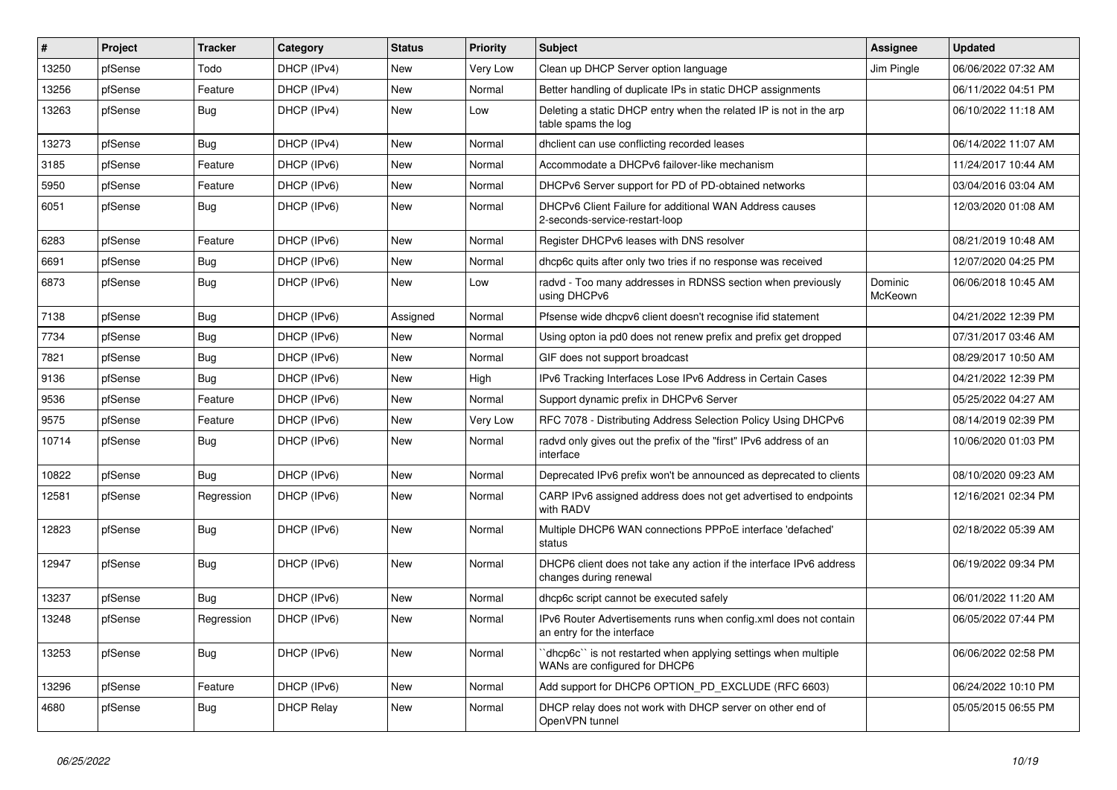| $\vert$ # | Project | <b>Tracker</b> | Category          | <b>Status</b> | <b>Priority</b> | Subject                                                                                        | <b>Assignee</b>    | <b>Updated</b>      |
|-----------|---------|----------------|-------------------|---------------|-----------------|------------------------------------------------------------------------------------------------|--------------------|---------------------|
| 13250     | pfSense | Todo           | DHCP (IPv4)       | New           | Very Low        | Clean up DHCP Server option language                                                           | Jim Pingle         | 06/06/2022 07:32 AM |
| 13256     | pfSense | Feature        | DHCP (IPv4)       | New           | Normal          | Better handling of duplicate IPs in static DHCP assignments                                    |                    | 06/11/2022 04:51 PM |
| 13263     | pfSense | Bug            | DHCP (IPv4)       | New           | Low             | Deleting a static DHCP entry when the related IP is not in the arp<br>table spams the log      |                    | 06/10/2022 11:18 AM |
| 13273     | pfSense | Bug            | DHCP (IPv4)       | New           | Normal          | dhclient can use conflicting recorded leases                                                   |                    | 06/14/2022 11:07 AM |
| 3185      | pfSense | Feature        | DHCP (IPv6)       | New           | Normal          | Accommodate a DHCPv6 failover-like mechanism                                                   |                    | 11/24/2017 10:44 AM |
| 5950      | pfSense | Feature        | DHCP (IPv6)       | New           | Normal          | DHCPv6 Server support for PD of PD-obtained networks                                           |                    | 03/04/2016 03:04 AM |
| 6051      | pfSense | Bug            | DHCP (IPv6)       | New           | Normal          | DHCPv6 Client Failure for additional WAN Address causes<br>2-seconds-service-restart-loop      |                    | 12/03/2020 01:08 AM |
| 6283      | pfSense | Feature        | DHCP (IPv6)       | <b>New</b>    | Normal          | Register DHCPv6 leases with DNS resolver                                                       |                    | 08/21/2019 10:48 AM |
| 6691      | pfSense | Bug            | DHCP (IPv6)       | New           | Normal          | dhcp6c quits after only two tries if no response was received                                  |                    | 12/07/2020 04:25 PM |
| 6873      | pfSense | <b>Bug</b>     | DHCP (IPv6)       | New           | Low             | radvd - Too many addresses in RDNSS section when previously<br>using DHCPv6                    | Dominic<br>McKeown | 06/06/2018 10:45 AM |
| 7138      | pfSense | <b>Bug</b>     | DHCP (IPv6)       | Assigned      | Normal          | Pfsense wide dhcpv6 client doesn't recognise ifid statement                                    |                    | 04/21/2022 12:39 PM |
| 7734      | pfSense | Bug            | DHCP (IPv6)       | New           | Normal          | Using opton ia pd0 does not renew prefix and prefix get dropped                                |                    | 07/31/2017 03:46 AM |
| 7821      | pfSense | <b>Bug</b>     | DHCP (IPv6)       | <b>New</b>    | Normal          | GIF does not support broadcast                                                                 |                    | 08/29/2017 10:50 AM |
| 9136      | pfSense | Bug            | DHCP (IPv6)       | New           | High            | IPv6 Tracking Interfaces Lose IPv6 Address in Certain Cases                                    |                    | 04/21/2022 12:39 PM |
| 9536      | pfSense | Feature        | DHCP (IPv6)       | <b>New</b>    | Normal          | Support dynamic prefix in DHCPv6 Server                                                        |                    | 05/25/2022 04:27 AM |
| 9575      | pfSense | Feature        | DHCP (IPv6)       | New           | Very Low        | RFC 7078 - Distributing Address Selection Policy Using DHCPv6                                  |                    | 08/14/2019 02:39 PM |
| 10714     | pfSense | Bug            | DHCP (IPv6)       | New           | Normal          | radvd only gives out the prefix of the "first" IPv6 address of an<br>interface                 |                    | 10/06/2020 01:03 PM |
| 10822     | pfSense | Bug            | DHCP (IPv6)       | New           | Normal          | Deprecated IPv6 prefix won't be announced as deprecated to clients                             |                    | 08/10/2020 09:23 AM |
| 12581     | pfSense | Regression     | DHCP (IPv6)       | New           | Normal          | CARP IPv6 assigned address does not get advertised to endpoints<br>with RADV                   |                    | 12/16/2021 02:34 PM |
| 12823     | pfSense | <b>Bug</b>     | DHCP (IPv6)       | New           | Normal          | Multiple DHCP6 WAN connections PPPoE interface 'defached'<br>status                            |                    | 02/18/2022 05:39 AM |
| 12947     | pfSense | <b>Bug</b>     | DHCP (IPv6)       | New           | Normal          | DHCP6 client does not take any action if the interface IPv6 address<br>changes during renewal  |                    | 06/19/2022 09:34 PM |
| 13237     | pfSense | <b>Bug</b>     | DHCP (IPv6)       | New           | Normal          | dhcp6c script cannot be executed safely                                                        |                    | 06/01/2022 11:20 AM |
| 13248     | pfSense | Regression     | DHCP (IPv6)       | New           | Normal          | IPv6 Router Advertisements runs when config.xml does not contain<br>an entry for the interface |                    | 06/05/2022 07:44 PM |
| 13253     | pfSense | <b>Bug</b>     | DHCP (IPv6)       | New           | Normal          | dhcp6c" is not restarted when applying settings when multiple<br>WANs are configured for DHCP6 |                    | 06/06/2022 02:58 PM |
| 13296     | pfSense | Feature        | DHCP (IPv6)       | New           | Normal          | Add support for DHCP6 OPTION PD EXCLUDE (RFC 6603)                                             |                    | 06/24/2022 10:10 PM |
| 4680      | pfSense | <b>Bug</b>     | <b>DHCP Relay</b> | New           | Normal          | DHCP relay does not work with DHCP server on other end of<br>OpenVPN tunnel                    |                    | 05/05/2015 06:55 PM |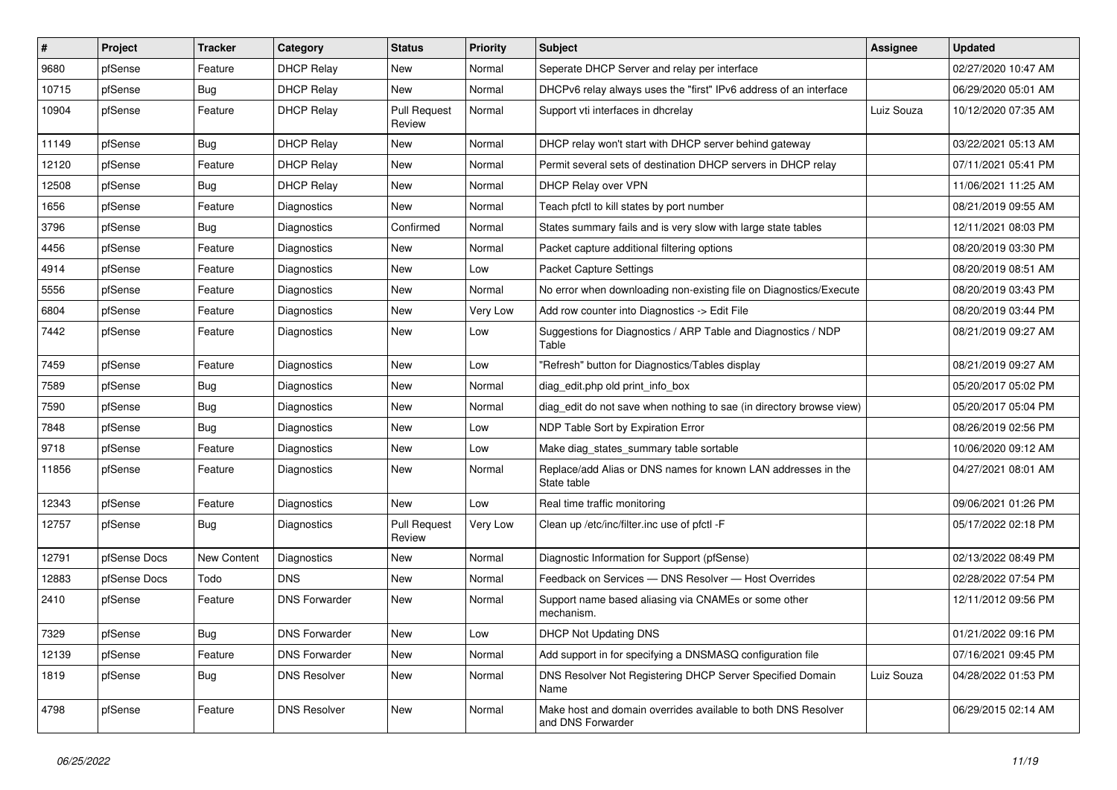| $\vert$ # | Project      | <b>Tracker</b>     | Category             | <b>Status</b>                 | <b>Priority</b> | Subject                                                                            | <b>Assignee</b> | <b>Updated</b>      |
|-----------|--------------|--------------------|----------------------|-------------------------------|-----------------|------------------------------------------------------------------------------------|-----------------|---------------------|
| 9680      | pfSense      | Feature            | <b>DHCP Relay</b>    | New                           | Normal          | Seperate DHCP Server and relay per interface                                       |                 | 02/27/2020 10:47 AM |
| 10715     | pfSense      | Bug                | <b>DHCP Relay</b>    | New                           | Normal          | DHCPv6 relay always uses the "first" IPv6 address of an interface                  |                 | 06/29/2020 05:01 AM |
| 10904     | pfSense      | Feature            | <b>DHCP Relay</b>    | <b>Pull Request</b><br>Review | Normal          | Support vti interfaces in dhcrelay                                                 | Luiz Souza      | 10/12/2020 07:35 AM |
| 11149     | pfSense      | <b>Bug</b>         | <b>DHCP Relay</b>    | New                           | Normal          | DHCP relay won't start with DHCP server behind gateway                             |                 | 03/22/2021 05:13 AM |
| 12120     | pfSense      | Feature            | <b>DHCP Relay</b>    | New                           | Normal          | Permit several sets of destination DHCP servers in DHCP relay                      |                 | 07/11/2021 05:41 PM |
| 12508     | pfSense      | Bug                | <b>DHCP Relay</b>    | New                           | Normal          | DHCP Relay over VPN                                                                |                 | 11/06/2021 11:25 AM |
| 1656      | pfSense      | Feature            | Diagnostics          | <b>New</b>                    | Normal          | Teach pfctl to kill states by port number                                          |                 | 08/21/2019 09:55 AM |
| 3796      | pfSense      | <b>Bug</b>         | Diagnostics          | Confirmed                     | Normal          | States summary fails and is very slow with large state tables                      |                 | 12/11/2021 08:03 PM |
| 4456      | pfSense      | Feature            | Diagnostics          | New                           | Normal          | Packet capture additional filtering options                                        |                 | 08/20/2019 03:30 PM |
| 4914      | pfSense      | Feature            | Diagnostics          | New                           | Low             | <b>Packet Capture Settings</b>                                                     |                 | 08/20/2019 08:51 AM |
| 5556      | pfSense      | Feature            | Diagnostics          | New                           | Normal          | No error when downloading non-existing file on Diagnostics/Execute                 |                 | 08/20/2019 03:43 PM |
| 6804      | pfSense      | Feature            | <b>Diagnostics</b>   | New                           | Very Low        | Add row counter into Diagnostics -> Edit File                                      |                 | 08/20/2019 03:44 PM |
| 7442      | pfSense      | Feature            | Diagnostics          | New                           | Low             | Suggestions for Diagnostics / ARP Table and Diagnostics / NDP<br>Table             |                 | 08/21/2019 09:27 AM |
| 7459      | pfSense      | Feature            | Diagnostics          | New                           | Low             | "Refresh" button for Diagnostics/Tables display                                    |                 | 08/21/2019 09:27 AM |
| 7589      | pfSense      | <b>Bug</b>         | Diagnostics          | New                           | Normal          | diag_edit.php old print_info_box                                                   |                 | 05/20/2017 05:02 PM |
| 7590      | pfSense      | <b>Bug</b>         | <b>Diagnostics</b>   | New                           | Normal          | diag_edit do not save when nothing to sae (in directory browse view)               |                 | 05/20/2017 05:04 PM |
| 7848      | pfSense      | Bug                | Diagnostics          | New                           | Low             | NDP Table Sort by Expiration Error                                                 |                 | 08/26/2019 02:56 PM |
| 9718      | pfSense      | Feature            | Diagnostics          | New                           | Low             | Make diag_states_summary table sortable                                            |                 | 10/06/2020 09:12 AM |
| 11856     | pfSense      | Feature            | Diagnostics          | New                           | Normal          | Replace/add Alias or DNS names for known LAN addresses in the<br>State table       |                 | 04/27/2021 08:01 AM |
| 12343     | pfSense      | Feature            | Diagnostics          | New                           | Low             | Real time traffic monitoring                                                       |                 | 09/06/2021 01:26 PM |
| 12757     | pfSense      | Bug                | Diagnostics          | <b>Pull Request</b><br>Review | Very Low        | Clean up /etc/inc/filter.inc use of pfctl -F                                       |                 | 05/17/2022 02:18 PM |
| 12791     | pfSense Docs | <b>New Content</b> | <b>Diagnostics</b>   | New                           | Normal          | Diagnostic Information for Support (pfSense)                                       |                 | 02/13/2022 08:49 PM |
| 12883     | pfSense Docs | Todo               | <b>DNS</b>           | New                           | Normal          | Feedback on Services - DNS Resolver - Host Overrides                               |                 | 02/28/2022 07:54 PM |
| 2410      | pfSense      | Feature            | <b>DNS Forwarder</b> | New                           | Normal          | Support name based aliasing via CNAMEs or some other<br>mechanism.                 |                 | 12/11/2012 09:56 PM |
| 7329      | pfSense      | Bug                | <b>DNS Forwarder</b> | New                           | Low             | <b>DHCP Not Updating DNS</b>                                                       |                 | 01/21/2022 09:16 PM |
| 12139     | pfSense      | Feature            | <b>DNS Forwarder</b> | New                           | Normal          | Add support in for specifying a DNSMASQ configuration file                         |                 | 07/16/2021 09:45 PM |
| 1819      | pfSense      | <b>Bug</b>         | <b>DNS Resolver</b>  | New                           | Normal          | DNS Resolver Not Registering DHCP Server Specified Domain<br>Name                  | Luiz Souza      | 04/28/2022 01:53 PM |
| 4798      | pfSense      | Feature            | <b>DNS Resolver</b>  | New                           | Normal          | Make host and domain overrides available to both DNS Resolver<br>and DNS Forwarder |                 | 06/29/2015 02:14 AM |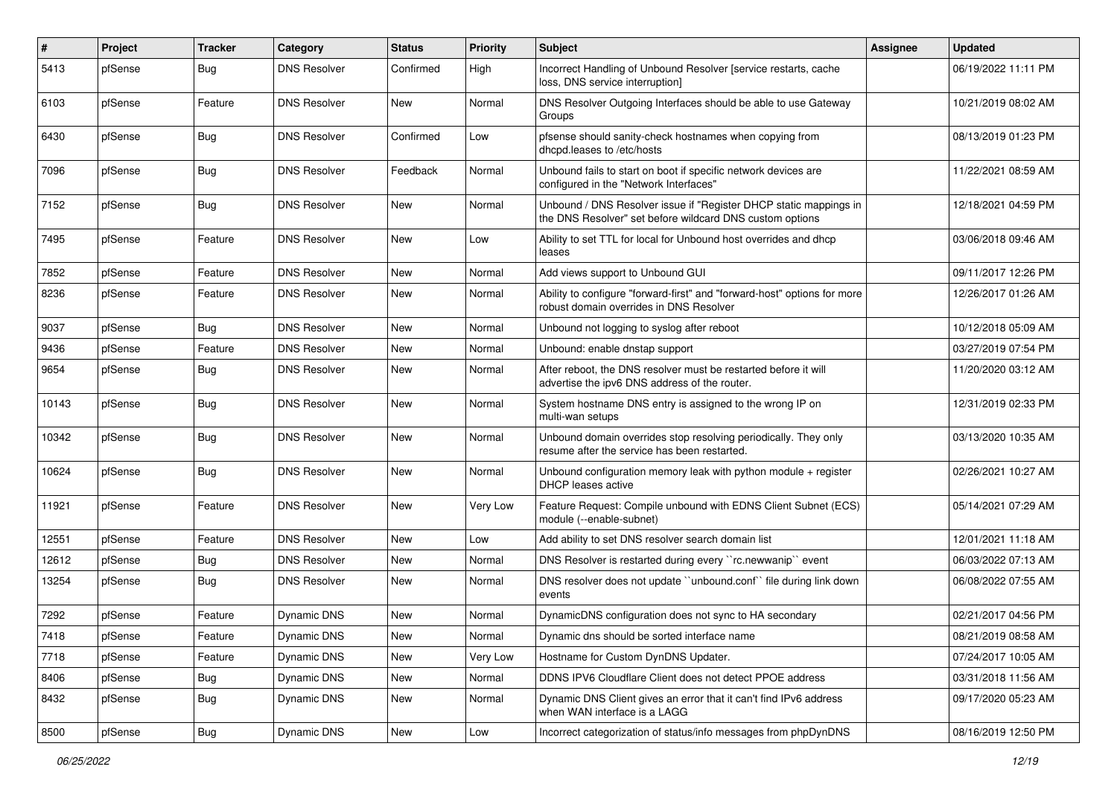| $\vert$ # | Project | <b>Tracker</b> | Category            | <b>Status</b> | <b>Priority</b> | Subject                                                                                                                       | Assignee | <b>Updated</b>      |
|-----------|---------|----------------|---------------------|---------------|-----------------|-------------------------------------------------------------------------------------------------------------------------------|----------|---------------------|
| 5413      | pfSense | Bug            | <b>DNS Resolver</b> | Confirmed     | High            | Incorrect Handling of Unbound Resolver [service restarts, cache<br>loss, DNS service interruption]                            |          | 06/19/2022 11:11 PM |
| 6103      | pfSense | Feature        | <b>DNS Resolver</b> | New           | Normal          | DNS Resolver Outgoing Interfaces should be able to use Gateway<br>Groups                                                      |          | 10/21/2019 08:02 AM |
| 6430      | pfSense | Bug            | <b>DNS Resolver</b> | Confirmed     | Low             | pfsense should sanity-check hostnames when copying from<br>dhcpd.leases to /etc/hosts                                         |          | 08/13/2019 01:23 PM |
| 7096      | pfSense | Bug            | <b>DNS Resolver</b> | Feedback      | Normal          | Unbound fails to start on boot if specific network devices are<br>configured in the "Network Interfaces"                      |          | 11/22/2021 08:59 AM |
| 7152      | pfSense | Bug            | <b>DNS Resolver</b> | <b>New</b>    | Normal          | Unbound / DNS Resolver issue if "Register DHCP static mappings in<br>the DNS Resolver" set before wildcard DNS custom options |          | 12/18/2021 04:59 PM |
| 7495      | pfSense | Feature        | <b>DNS Resolver</b> | New           | Low             | Ability to set TTL for local for Unbound host overrides and dhcp<br>leases                                                    |          | 03/06/2018 09:46 AM |
| 7852      | pfSense | Feature        | <b>DNS Resolver</b> | <b>New</b>    | Normal          | Add views support to Unbound GUI                                                                                              |          | 09/11/2017 12:26 PM |
| 8236      | pfSense | Feature        | <b>DNS Resolver</b> | New           | Normal          | Ability to configure "forward-first" and "forward-host" options for more<br>robust domain overrides in DNS Resolver           |          | 12/26/2017 01:26 AM |
| 9037      | pfSense | <b>Bug</b>     | <b>DNS Resolver</b> | <b>New</b>    | Normal          | Unbound not logging to syslog after reboot                                                                                    |          | 10/12/2018 05:09 AM |
| 9436      | pfSense | Feature        | <b>DNS Resolver</b> | <b>New</b>    | Normal          | Unbound: enable dnstap support                                                                                                |          | 03/27/2019 07:54 PM |
| 9654      | pfSense | Bug            | <b>DNS Resolver</b> | New           | Normal          | After reboot, the DNS resolver must be restarted before it will<br>advertise the ipv6 DNS address of the router.              |          | 11/20/2020 03:12 AM |
| 10143     | pfSense | Bug            | <b>DNS Resolver</b> | <b>New</b>    | Normal          | System hostname DNS entry is assigned to the wrong IP on<br>multi-wan setups                                                  |          | 12/31/2019 02:33 PM |
| 10342     | pfSense | Bug            | <b>DNS Resolver</b> | <b>New</b>    | Normal          | Unbound domain overrides stop resolving periodically. They only<br>resume after the service has been restarted.               |          | 03/13/2020 10:35 AM |
| 10624     | pfSense | <b>Bug</b>     | <b>DNS Resolver</b> | <b>New</b>    | Normal          | Unbound configuration memory leak with python module + register<br>DHCP leases active                                         |          | 02/26/2021 10:27 AM |
| 11921     | pfSense | Feature        | <b>DNS Resolver</b> | <b>New</b>    | Very Low        | Feature Request: Compile unbound with EDNS Client Subnet (ECS)<br>module (--enable-subnet)                                    |          | 05/14/2021 07:29 AM |
| 12551     | pfSense | Feature        | <b>DNS Resolver</b> | <b>New</b>    | Low             | Add ability to set DNS resolver search domain list                                                                            |          | 12/01/2021 11:18 AM |
| 12612     | pfSense | Bug            | <b>DNS Resolver</b> | New           | Normal          | DNS Resolver is restarted during every "rc.newwanip" event                                                                    |          | 06/03/2022 07:13 AM |
| 13254     | pfSense | Bug            | <b>DNS Resolver</b> | New           | Normal          | DNS resolver does not update "unbound.conf" file during link down<br>events                                                   |          | 06/08/2022 07:55 AM |
| 7292      | pfSense | Feature        | <b>Dynamic DNS</b>  | <b>New</b>    | Normal          | DynamicDNS configuration does not sync to HA secondary                                                                        |          | 02/21/2017 04:56 PM |
| 7418      | pfSense | Feature        | Dynamic DNS         | New           | Normal          | Dynamic dns should be sorted interface name                                                                                   |          | 08/21/2019 08:58 AM |
| 7718      | pfSense | Feature        | Dynamic DNS         | <b>New</b>    | Very Low        | Hostname for Custom DynDNS Updater.                                                                                           |          | 07/24/2017 10:05 AM |
| 8406      | pfSense | <b>Bug</b>     | Dynamic DNS         | New           | Normal          | DDNS IPV6 Cloudflare Client does not detect PPOE address                                                                      |          | 03/31/2018 11:56 AM |
| 8432      | pfSense | <b>Bug</b>     | Dynamic DNS         | New           | Normal          | Dynamic DNS Client gives an error that it can't find IPv6 address<br>when WAN interface is a LAGG                             |          | 09/17/2020 05:23 AM |
| 8500      | pfSense | Bug            | Dynamic DNS         | New           | Low             | Incorrect categorization of status/info messages from phpDynDNS                                                               |          | 08/16/2019 12:50 PM |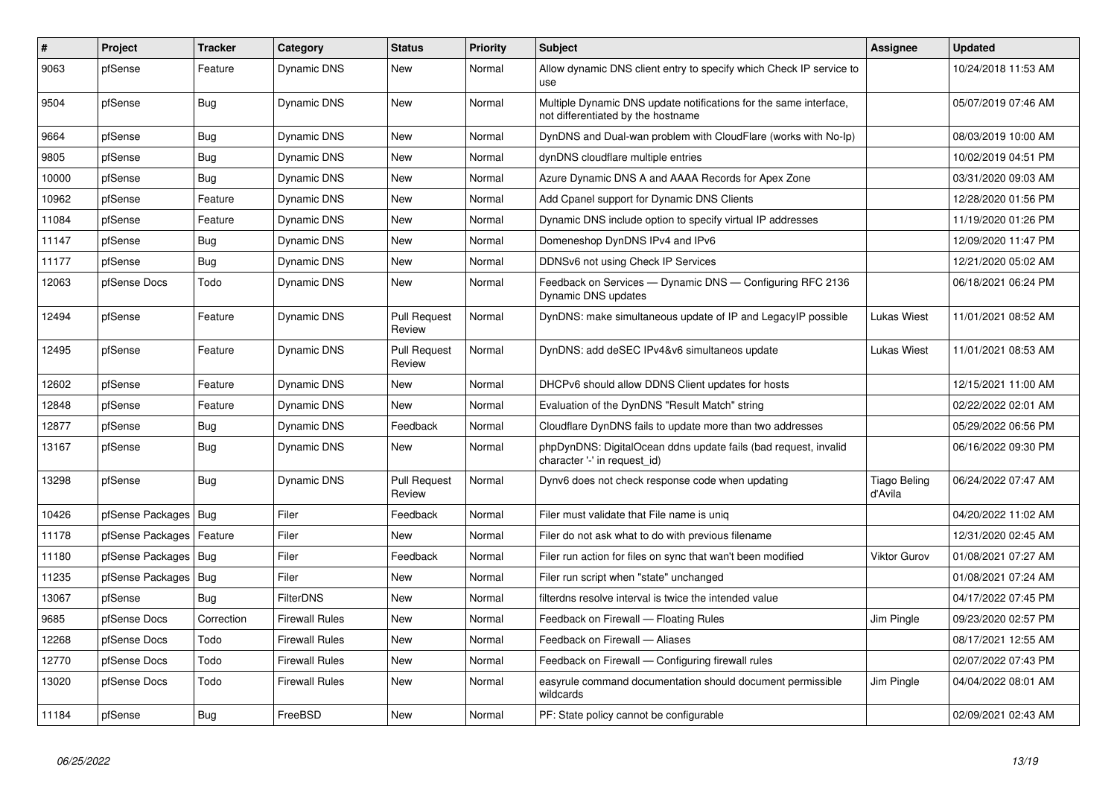| $\vert$ # | <b>Project</b>         | <b>Tracker</b> | Category              | <b>Status</b>                 | Priority | <b>Subject</b>                                                                                          | <b>Assignee</b>                | <b>Updated</b>      |
|-----------|------------------------|----------------|-----------------------|-------------------------------|----------|---------------------------------------------------------------------------------------------------------|--------------------------------|---------------------|
| 9063      | pfSense                | Feature        | <b>Dynamic DNS</b>    | <b>New</b>                    | Normal   | Allow dynamic DNS client entry to specify which Check IP service to<br>use                              |                                | 10/24/2018 11:53 AM |
| 9504      | pfSense                | <b>Bug</b>     | Dynamic DNS           | <b>New</b>                    | Normal   | Multiple Dynamic DNS update notifications for the same interface,<br>not differentiated by the hostname |                                | 05/07/2019 07:46 AM |
| 9664      | pfSense                | Bug            | Dynamic DNS           | <b>New</b>                    | Normal   | DynDNS and Dual-wan problem with CloudFlare (works with No-Ip)                                          |                                | 08/03/2019 10:00 AM |
| 9805      | pfSense                | <b>Bug</b>     | Dynamic DNS           | New                           | Normal   | dynDNS cloudflare multiple entries                                                                      |                                | 10/02/2019 04:51 PM |
| 10000     | pfSense                | Bug            | Dynamic DNS           | New                           | Normal   | Azure Dynamic DNS A and AAAA Records for Apex Zone                                                      |                                | 03/31/2020 09:03 AM |
| 10962     | pfSense                | Feature        | Dynamic DNS           | <b>New</b>                    | Normal   | Add Cpanel support for Dynamic DNS Clients                                                              |                                | 12/28/2020 01:56 PM |
| 11084     | pfSense                | Feature        | Dynamic DNS           | <b>New</b>                    | Normal   | Dynamic DNS include option to specify virtual IP addresses                                              |                                | 11/19/2020 01:26 PM |
| 11147     | pfSense                | Bug            | Dynamic DNS           | New                           | Normal   | Domeneshop DynDNS IPv4 and IPv6                                                                         |                                | 12/09/2020 11:47 PM |
| 11177     | pfSense                | <b>Bug</b>     | Dynamic DNS           | <b>New</b>                    | Normal   | DDNSv6 not using Check IP Services                                                                      |                                | 12/21/2020 05:02 AM |
| 12063     | pfSense Docs           | Todo           | Dynamic DNS           | New                           | Normal   | Feedback on Services — Dynamic DNS — Configuring RFC 2136<br>Dynamic DNS updates                        |                                | 06/18/2021 06:24 PM |
| 12494     | pfSense                | Feature        | Dynamic DNS           | <b>Pull Request</b><br>Review | Normal   | DynDNS: make simultaneous update of IP and LegacyIP possible                                            | Lukas Wiest                    | 11/01/2021 08:52 AM |
| 12495     | pfSense                | Feature        | Dynamic DNS           | <b>Pull Request</b><br>Review | Normal   | DynDNS: add deSEC IPv4&v6 simultaneos update                                                            | Lukas Wiest                    | 11/01/2021 08:53 AM |
| 12602     | pfSense                | Feature        | Dynamic DNS           | <b>New</b>                    | Normal   | DHCPv6 should allow DDNS Client updates for hosts                                                       |                                | 12/15/2021 11:00 AM |
| 12848     | pfSense                | Feature        | Dynamic DNS           | <b>New</b>                    | Normal   | Evaluation of the DynDNS "Result Match" string                                                          |                                | 02/22/2022 02:01 AM |
| 12877     | pfSense                | <b>Bug</b>     | <b>Dynamic DNS</b>    | Feedback                      | Normal   | Cloudflare DynDNS fails to update more than two addresses                                               |                                | 05/29/2022 06:56 PM |
| 13167     | pfSense                | <b>Bug</b>     | Dynamic DNS           | <b>New</b>                    | Normal   | phpDynDNS: DigitalOcean ddns update fails (bad request, invalid<br>character '-' in request_id)         |                                | 06/16/2022 09:30 PM |
| 13298     | pfSense                | <b>Bug</b>     | <b>Dynamic DNS</b>    | <b>Pull Request</b><br>Review | Normal   | Dynv6 does not check response code when updating                                                        | <b>Tiago Beling</b><br>d'Avila | 06/24/2022 07:47 AM |
| 10426     | pfSense Packages   Bug |                | Filer                 | Feedback                      | Normal   | Filer must validate that File name is uniq                                                              |                                | 04/20/2022 11:02 AM |
| 11178     | pfSense Packages       | Feature        | Filer                 | <b>New</b>                    | Normal   | Filer do not ask what to do with previous filename                                                      |                                | 12/31/2020 02:45 AM |
| 11180     | pfSense Packages       | Bug            | Filer                 | Feedback                      | Normal   | Filer run action for files on sync that wan't been modified                                             | Viktor Gurov                   | 01/08/2021 07:27 AM |
| 11235     | pfSense Packages   Bug |                | Filer                 | <b>New</b>                    | Normal   | Filer run script when "state" unchanged                                                                 |                                | 01/08/2021 07:24 AM |
| 13067     | pfSense                | Bug            | <b>FilterDNS</b>      | <b>New</b>                    | Normal   | filterdns resolve interval is twice the intended value                                                  |                                | 04/17/2022 07:45 PM |
| 9685      | pfSense Docs           | Correction     | Firewall Rules        | <b>New</b>                    | Normal   | Feedback on Firewall - Floating Rules                                                                   | Jim Pingle                     | 09/23/2020 02:57 PM |
| 12268     | pfSense Docs           | Todo           | <b>Firewall Rules</b> | <b>New</b>                    | Normal   | Feedback on Firewall - Aliases                                                                          |                                | 08/17/2021 12:55 AM |
| 12770     | pfSense Docs           | Todo           | <b>Firewall Rules</b> | New                           | Normal   | Feedback on Firewall - Configuring firewall rules                                                       |                                | 02/07/2022 07:43 PM |
| 13020     | pfSense Docs           | Todo           | Firewall Rules        | <b>New</b>                    | Normal   | easyrule command documentation should document permissible<br>wildcards                                 | Jim Pingle                     | 04/04/2022 08:01 AM |
| 11184     | pfSense                | Bug            | FreeBSD               | New                           | Normal   | PF: State policy cannot be configurable                                                                 |                                | 02/09/2021 02:43 AM |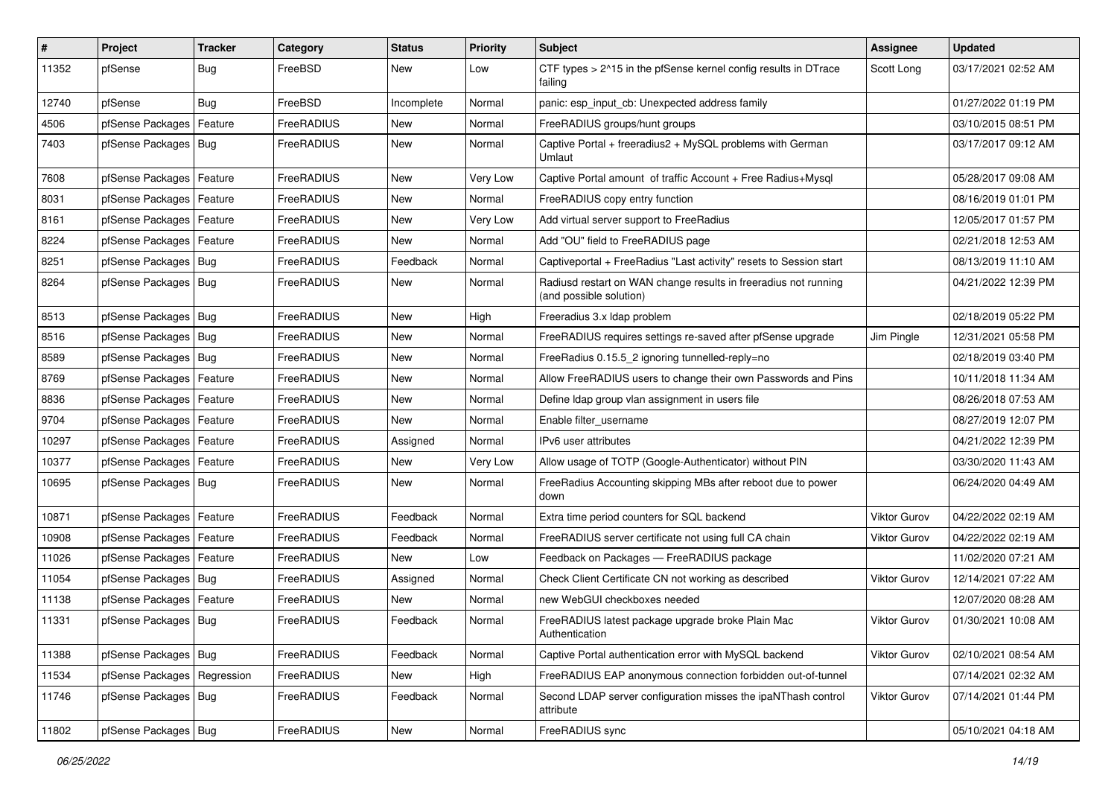| #     | Project                       | <b>Tracker</b> | Category   | <b>Status</b> | <b>Priority</b> | <b>Subject</b>                                                                             | Assignee            | <b>Updated</b>      |
|-------|-------------------------------|----------------|------------|---------------|-----------------|--------------------------------------------------------------------------------------------|---------------------|---------------------|
| 11352 | pfSense                       | Bug            | FreeBSD    | New           | Low             | CTF types > 2^15 in the pfSense kernel config results in DTrace<br>failing                 | Scott Long          | 03/17/2021 02:52 AM |
| 12740 | pfSense                       | Bug            | FreeBSD    | Incomplete    | Normal          | panic: esp input cb: Unexpected address family                                             |                     | 01/27/2022 01:19 PM |
| 4506  | pfSense Packages              | Feature        | FreeRADIUS | New           | Normal          | FreeRADIUS groups/hunt groups                                                              |                     | 03/10/2015 08:51 PM |
| 7403  | pfSense Packages   Bug        |                | FreeRADIUS | <b>New</b>    | Normal          | Captive Portal + freeradius2 + MySQL problems with German<br>Umlaut                        |                     | 03/17/2017 09:12 AM |
| 7608  | pfSense Packages   Feature    |                | FreeRADIUS | New           | Very Low        | Captive Portal amount of traffic Account + Free Radius+Mysql                               |                     | 05/28/2017 09:08 AM |
| 8031  | pfSense Packages              | Feature        | FreeRADIUS | New           | Normal          | FreeRADIUS copy entry function                                                             |                     | 08/16/2019 01:01 PM |
| 8161  | pfSense Packages   Feature    |                | FreeRADIUS | New           | Very Low        | Add virtual server support to FreeRadius                                                   |                     | 12/05/2017 01:57 PM |
| 8224  | pfSense Packages   Feature    |                | FreeRADIUS | New           | Normal          | Add "OU" field to FreeRADIUS page                                                          |                     | 02/21/2018 12:53 AM |
| 8251  | pfSense Packages   Bug        |                | FreeRADIUS | Feedback      | Normal          | Captiveportal + FreeRadius "Last activity" resets to Session start                         |                     | 08/13/2019 11:10 AM |
| 8264  | pfSense Packages   Bug        |                | FreeRADIUS | New           | Normal          | Radiusd restart on WAN change results in freeradius not running<br>(and possible solution) |                     | 04/21/2022 12:39 PM |
| 8513  | pfSense Packages   Bug        |                | FreeRADIUS | New           | High            | Freeradius 3.x Idap problem                                                                |                     | 02/18/2019 05:22 PM |
| 8516  | pfSense Packages Bug          |                | FreeRADIUS | New           | Normal          | FreeRADIUS requires settings re-saved after pfSense upgrade                                | Jim Pingle          | 12/31/2021 05:58 PM |
| 8589  | pfSense Packages   Bug        |                | FreeRADIUS | New           | Normal          | FreeRadius 0.15.5 2 ignoring tunnelled-reply=no                                            |                     | 02/18/2019 03:40 PM |
| 8769  | pfSense Packages   Feature    |                | FreeRADIUS | New           | Normal          | Allow FreeRADIUS users to change their own Passwords and Pins                              |                     | 10/11/2018 11:34 AM |
| 8836  | pfSense Packages   Feature    |                | FreeRADIUS | New           | Normal          | Define Idap group vlan assignment in users file                                            |                     | 08/26/2018 07:53 AM |
| 9704  | pfSense Packages   Feature    |                | FreeRADIUS | New           | Normal          | Enable filter username                                                                     |                     | 08/27/2019 12:07 PM |
| 10297 | pfSense Packages   Feature    |                | FreeRADIUS | Assigned      | Normal          | IPv6 user attributes                                                                       |                     | 04/21/2022 12:39 PM |
| 10377 | pfSense Packages              | Feature        | FreeRADIUS | New           | Very Low        | Allow usage of TOTP (Google-Authenticator) without PIN                                     |                     | 03/30/2020 11:43 AM |
| 10695 | pfSense Packages   Bug        |                | FreeRADIUS | New           | Normal          | FreeRadius Accounting skipping MBs after reboot due to power<br>down                       |                     | 06/24/2020 04:49 AM |
| 10871 | pfSense Packages              | Feature        | FreeRADIUS | Feedback      | Normal          | Extra time period counters for SQL backend                                                 | Viktor Gurov        | 04/22/2022 02:19 AM |
| 10908 | pfSense Packages   Feature    |                | FreeRADIUS | Feedback      | Normal          | FreeRADIUS server certificate not using full CA chain                                      | Viktor Gurov        | 04/22/2022 02:19 AM |
| 11026 | pfSense Packages   Feature    |                | FreeRADIUS | <b>New</b>    | Low             | Feedback on Packages - FreeRADIUS package                                                  |                     | 11/02/2020 07:21 AM |
| 11054 | pfSense Packages   Bug        |                | FreeRADIUS | Assigned      | Normal          | Check Client Certificate CN not working as described                                       | <b>Viktor Gurov</b> | 12/14/2021 07:22 AM |
| 11138 | pfSense Packages   Feature    |                | FreeRADIUS | New           | Normal          | new WebGUI checkboxes needed                                                               |                     | 12/07/2020 08:28 AM |
| 11331 | pfSense Packages   Bug        |                | FreeRADIUS | Feedback      | Normal          | FreeRADIUS latest package upgrade broke Plain Mac<br>Authentication                        | <b>Viktor Gurov</b> | 01/30/2021 10:08 AM |
| 11388 | pfSense Packages   Bug        |                | FreeRADIUS | Feedback      | Normal          | Captive Portal authentication error with MySQL backend                                     | Viktor Gurov        | 02/10/2021 08:54 AM |
| 11534 | pfSense Packages   Regression |                | FreeRADIUS | New           | High            | FreeRADIUS EAP anonymous connection forbidden out-of-tunnel                                |                     | 07/14/2021 02:32 AM |
| 11746 | pfSense Packages   Bug        |                | FreeRADIUS | Feedback      | Normal          | Second LDAP server configuration misses the ipaNThash control<br>attribute                 | <b>Viktor Gurov</b> | 07/14/2021 01:44 PM |
| 11802 | pfSense Packages   Bug        |                | FreeRADIUS | New           | Normal          | FreeRADIUS sync                                                                            |                     | 05/10/2021 04:18 AM |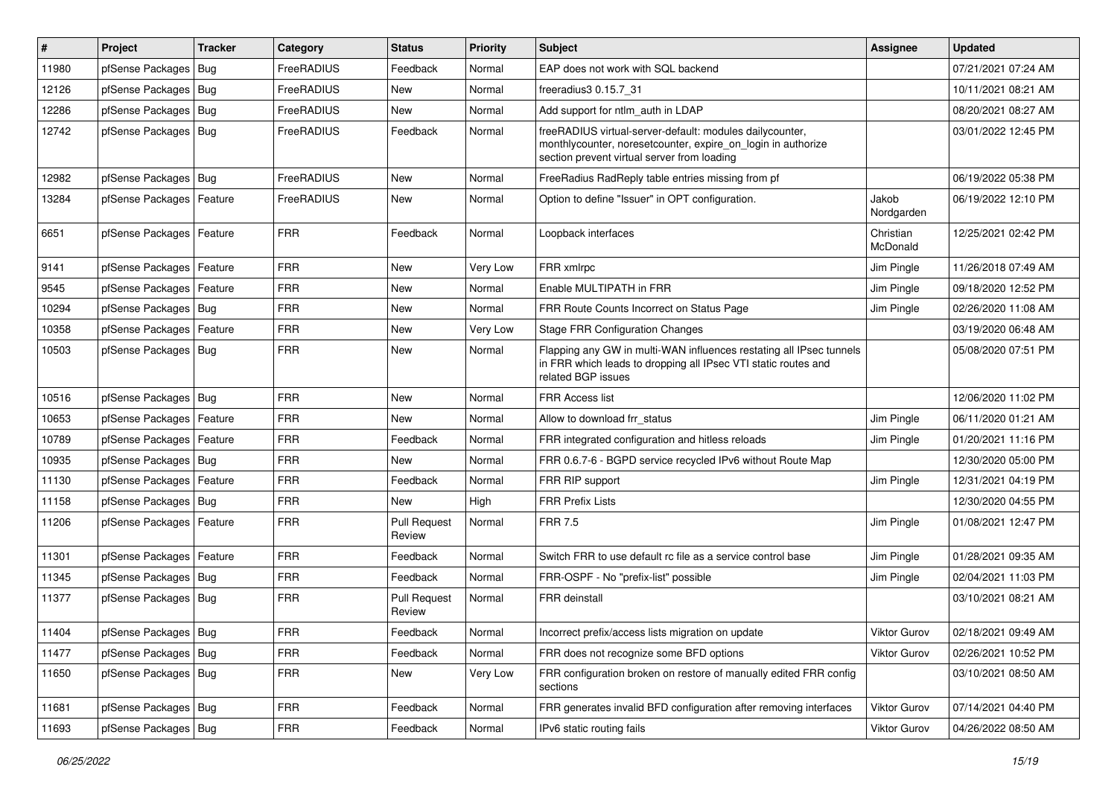| #     | Project                    | <b>Tracker</b> | Category    | <b>Status</b>                 | <b>Priority</b> | Subject                                                                                                                                                                 | Assignee              | <b>Updated</b>      |
|-------|----------------------------|----------------|-------------|-------------------------------|-----------------|-------------------------------------------------------------------------------------------------------------------------------------------------------------------------|-----------------------|---------------------|
| 11980 | pfSense Packages           | Bug            | FreeRADIUS  | Feedback                      | Normal          | EAP does not work with SQL backend                                                                                                                                      |                       | 07/21/2021 07:24 AM |
| 12126 | pfSense Packages   Bug     |                | FreeRADIUS  | <b>New</b>                    | Normal          | freeradius3 0.15.7 31                                                                                                                                                   |                       | 10/11/2021 08:21 AM |
| 12286 | pfSense Packages           | Bug            | FreeRADIUS  | New                           | Normal          | Add support for ntlm auth in LDAP                                                                                                                                       |                       | 08/20/2021 08:27 AM |
| 12742 | pfSense Packages   Bug     |                | FreeRADIUS  | Feedback                      | Normal          | freeRADIUS virtual-server-default: modules dailycounter,<br>monthlycounter, noresetcounter, expire_on_login in authorize<br>section prevent virtual server from loading |                       | 03/01/2022 12:45 PM |
| 12982 | pfSense Packages   Bug     |                | FreeRADIUS  | New                           | Normal          | FreeRadius RadReply table entries missing from pf                                                                                                                       |                       | 06/19/2022 05:38 PM |
| 13284 | pfSense Packages   Feature |                | FreeRADIUS  | <b>New</b>                    | Normal          | Option to define "Issuer" in OPT configuration.                                                                                                                         | Jakob<br>Nordgarden   | 06/19/2022 12:10 PM |
| 6651  | pfSense Packages   Feature |                | <b>FRR</b>  | Feedback                      | Normal          | Loopback interfaces                                                                                                                                                     | Christian<br>McDonald | 12/25/2021 02:42 PM |
| 9141  | pfSense Packages   Feature |                | <b>FRR</b>  | <b>New</b>                    | Very Low        | FRR xmlrpc                                                                                                                                                              | Jim Pingle            | 11/26/2018 07:49 AM |
| 9545  | pfSense Packages           | Feature        | <b>FRR</b>  | <b>New</b>                    | Normal          | Enable MULTIPATH in FRR                                                                                                                                                 | Jim Pingle            | 09/18/2020 12:52 PM |
| 10294 | pfSense Packages   Bug     |                | <b>FRR</b>  | New                           | Normal          | FRR Route Counts Incorrect on Status Page                                                                                                                               | Jim Pingle            | 02/26/2020 11:08 AM |
| 10358 | pfSense Packages   Feature |                | <b>FRR</b>  | New                           | Very Low        | <b>Stage FRR Configuration Changes</b>                                                                                                                                  |                       | 03/19/2020 06:48 AM |
| 10503 | pfSense Packages   Bug     |                | <b>FRR</b>  | New                           | Normal          | Flapping any GW in multi-WAN influences restating all IPsec tunnels<br>in FRR which leads to dropping all IPsec VTI static routes and<br>related BGP issues             |                       | 05/08/2020 07:51 PM |
| 10516 | pfSense Packages   Bug     |                | <b>FRR</b>  | New                           | Normal          | FRR Access list                                                                                                                                                         |                       | 12/06/2020 11:02 PM |
| 10653 | pfSense Packages           | Feature        | <b>FRR</b>  | <b>New</b>                    | Normal          | Allow to download frr status                                                                                                                                            | Jim Pingle            | 06/11/2020 01:21 AM |
| 10789 | pfSense Packages           | Feature        | <b>FRR</b>  | Feedback                      | Normal          | FRR integrated configuration and hitless reloads                                                                                                                        | Jim Pingle            | 01/20/2021 11:16 PM |
| 10935 | pfSense Packages   Bug     |                | <b>FRR</b>  | New                           | Normal          | FRR 0.6.7-6 - BGPD service recycled IPv6 without Route Map                                                                                                              |                       | 12/30/2020 05:00 PM |
| 11130 | pfSense Packages   Feature |                | <b>FRR</b>  | Feedback                      | Normal          | FRR RIP support                                                                                                                                                         | Jim Pingle            | 12/31/2021 04:19 PM |
| 11158 | pfSense Packages           | Bug            | <b>FRR</b>  | <b>New</b>                    | High            | <b>FRR Prefix Lists</b>                                                                                                                                                 |                       | 12/30/2020 04:55 PM |
| 11206 | pfSense Packages   Feature |                | <b>FRR</b>  | <b>Pull Request</b><br>Review | Normal          | <b>FRR 7.5</b>                                                                                                                                                          | Jim Pingle            | 01/08/2021 12:47 PM |
| 11301 | pfSense Packages   Feature |                | <b>FRR</b>  | Feedback                      | Normal          | Switch FRR to use default rc file as a service control base                                                                                                             | Jim Pingle            | 01/28/2021 09:35 AM |
| 11345 | pfSense Packages           | Bug            | <b>FRR</b>  | Feedback                      | Normal          | FRR-OSPF - No "prefix-list" possible                                                                                                                                    | Jim Pingle            | 02/04/2021 11:03 PM |
| 11377 | pfSense Packages   Bug     |                | <b>FRR</b>  | <b>Pull Request</b><br>Review | Normal          | FRR deinstall                                                                                                                                                           |                       | 03/10/2021 08:21 AM |
| 11404 | pfSense Packages   Bug     |                | <b>FRR</b>  | Feedback                      | Normal          | Incorrect prefix/access lists migration on update                                                                                                                       | Viktor Gurov          | 02/18/2021 09:49 AM |
| 11477 | pfSense Packages   Bug     |                | <b>FRR</b>  | Feedback                      | Normal          | FRR does not recognize some BFD options                                                                                                                                 | <b>Viktor Gurov</b>   | 02/26/2021 10:52 PM |
| 11650 | pfSense Packages   Bug     |                | FRR         | New                           | Very Low        | FRR configuration broken on restore of manually edited FRR config<br>sections                                                                                           |                       | 03/10/2021 08:50 AM |
| 11681 | pfSense Packages   Bug     |                | <b>FRR</b>  | Feedback                      | Normal          | FRR generates invalid BFD configuration after removing interfaces                                                                                                       | Viktor Gurov          | 07/14/2021 04:40 PM |
| 11693 | pfSense Packages   Bug     |                | ${\sf FRR}$ | Feedback                      | Normal          | IPv6 static routing fails                                                                                                                                               | Viktor Gurov          | 04/26/2022 08:50 AM |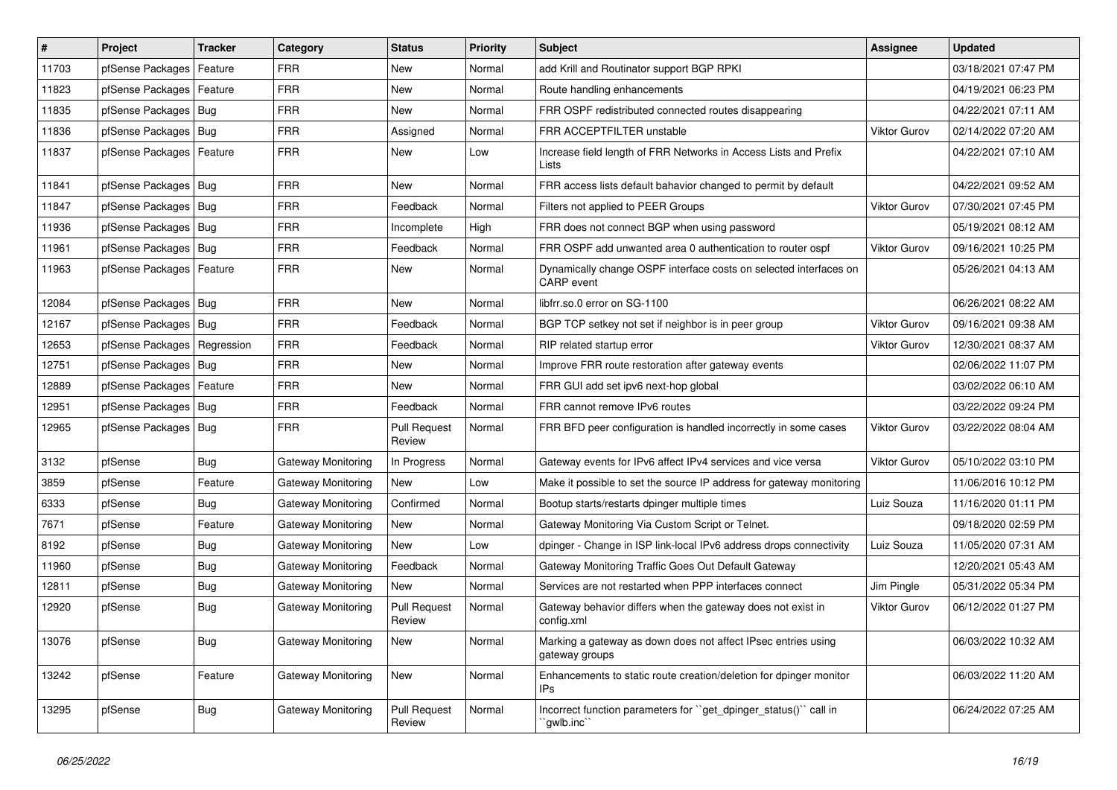| #     | Project                    | <b>Tracker</b> | Category           | <b>Status</b>                 | <b>Priority</b> | <b>Subject</b>                                                                         | Assignee            | <b>Updated</b>      |
|-------|----------------------------|----------------|--------------------|-------------------------------|-----------------|----------------------------------------------------------------------------------------|---------------------|---------------------|
| 11703 | pfSense Packages           | Feature        | <b>FRR</b>         | <b>New</b>                    | Normal          | add Krill and Routinator support BGP RPKI                                              |                     | 03/18/2021 07:47 PM |
| 11823 | pfSense Packages           | Feature        | <b>FRR</b>         | <b>New</b>                    | Normal          | Route handling enhancements                                                            |                     | 04/19/2021 06:23 PM |
| 11835 | pfSense Packages           | Bug            | <b>FRR</b>         | <b>New</b>                    | Normal          | FRR OSPF redistributed connected routes disappearing                                   |                     | 04/22/2021 07:11 AM |
| 11836 | pfSense Packages           | Bug            | <b>FRR</b>         | Assigned                      | Normal          | FRR ACCEPTFILTER unstable                                                              | Viktor Gurov        | 02/14/2022 07:20 AM |
| 11837 | pfSense Packages           | Feature        | <b>FRR</b>         | New                           | Low             | Increase field length of FRR Networks in Access Lists and Prefix<br>Lists              |                     | 04/22/2021 07:10 AM |
| 11841 | pfSense Packages           | Bug            | <b>FRR</b>         | New                           | Normal          | FRR access lists default bahavior changed to permit by default                         |                     | 04/22/2021 09:52 AM |
| 11847 | pfSense Packages           | Bug            | <b>FRR</b>         | Feedback                      | Normal          | Filters not applied to PEER Groups                                                     | <b>Viktor Gurov</b> | 07/30/2021 07:45 PM |
| 11936 | pfSense Packages           | Bug            | <b>FRR</b>         | Incomplete                    | High            | FRR does not connect BGP when using password                                           |                     | 05/19/2021 08:12 AM |
| 11961 | pfSense Packages           | Bug            | <b>FRR</b>         | Feedback                      | Normal          | FRR OSPF add unwanted area 0 authentication to router ospf                             | <b>Viktor Gurov</b> | 09/16/2021 10:25 PM |
| 11963 | pfSense Packages   Feature |                | <b>FRR</b>         | New                           | Normal          | Dynamically change OSPF interface costs on selected interfaces on<br><b>CARP</b> event |                     | 05/26/2021 04:13 AM |
| 12084 | pfSense Packages           | Bug            | <b>FRR</b>         | New                           | Normal          | libfrr.so.0 error on SG-1100                                                           |                     | 06/26/2021 08:22 AM |
| 12167 | pfSense Packages   Bug     |                | <b>FRR</b>         | Feedback                      | Normal          | BGP TCP setkey not set if neighbor is in peer group                                    | <b>Viktor Gurov</b> | 09/16/2021 09:38 AM |
| 12653 | pfSense Packages           | Regression     | <b>FRR</b>         | Feedback                      | Normal          | RIP related startup error                                                              | <b>Viktor Gurov</b> | 12/30/2021 08:37 AM |
| 12751 | pfSense Packages           | Bug            | <b>FRR</b>         | <b>New</b>                    | Normal          | Improve FRR route restoration after gateway events                                     |                     | 02/06/2022 11:07 PM |
| 12889 | pfSense Packages           | Feature        | <b>FRR</b>         | New                           | Normal          | FRR GUI add set ipv6 next-hop global                                                   |                     | 03/02/2022 06:10 AM |
| 12951 | pfSense Packages           | Bug            | <b>FRR</b>         | Feedback                      | Normal          | FRR cannot remove IPv6 routes                                                          |                     | 03/22/2022 09:24 PM |
| 12965 | pfSense Packages           | Bug            | <b>FRR</b>         | <b>Pull Request</b><br>Review | Normal          | FRR BFD peer configuration is handled incorrectly in some cases                        | Viktor Gurov        | 03/22/2022 08:04 AM |
| 3132  | pfSense                    | Bug            | Gateway Monitoring | In Progress                   | Normal          | Gateway events for IPv6 affect IPv4 services and vice versa                            | <b>Viktor Gurov</b> | 05/10/2022 03:10 PM |
| 3859  | pfSense                    | Feature        | Gateway Monitoring | New                           | Low             | Make it possible to set the source IP address for gateway monitoring                   |                     | 11/06/2016 10:12 PM |
| 6333  | pfSense                    | Bug            | Gateway Monitoring | Confirmed                     | Normal          | Bootup starts/restarts dpinger multiple times                                          | Luiz Souza          | 11/16/2020 01:11 PM |
| 7671  | pfSense                    | Feature        | Gateway Monitoring | <b>New</b>                    | Normal          | Gateway Monitoring Via Custom Script or Telnet.                                        |                     | 09/18/2020 02:59 PM |
| 8192  | pfSense                    | <b>Bug</b>     | Gateway Monitoring | <b>New</b>                    | Low             | dpinger - Change in ISP link-local IPv6 address drops connectivity                     | Luiz Souza          | 11/05/2020 07:31 AM |
| 11960 | pfSense                    | <b>Bug</b>     | Gateway Monitoring | Feedback                      | Normal          | Gateway Monitoring Traffic Goes Out Default Gateway                                    |                     | 12/20/2021 05:43 AM |
| 12811 | pfSense                    | Bug            | Gateway Monitoring | New                           | Normal          | Services are not restarted when PPP interfaces connect                                 | Jim Pingle          | 05/31/2022 05:34 PM |
| 12920 | pfSense                    | <b>Bug</b>     | Gateway Monitoring | <b>Pull Request</b><br>Review | Normal          | Gateway behavior differs when the gateway does not exist in<br>config.xml              | <b>Viktor Gurov</b> | 06/12/2022 01:27 PM |
| 13076 | pfSense                    | <b>Bug</b>     | Gateway Monitoring | New                           | Normal          | Marking a gateway as down does not affect IPsec entries using<br>gateway groups        |                     | 06/03/2022 10:32 AM |
| 13242 | pfSense                    | Feature        | Gateway Monitoring | <b>New</b>                    | Normal          | Enhancements to static route creation/deletion for dpinger monitor<br><b>IPs</b>       |                     | 06/03/2022 11:20 AM |
| 13295 | pfSense                    | Bug            | Gateway Monitoring | <b>Pull Request</b><br>Review | Normal          | Incorrect function parameters for "get dpinger status()" call in<br>`gwlb.inc`         |                     | 06/24/2022 07:25 AM |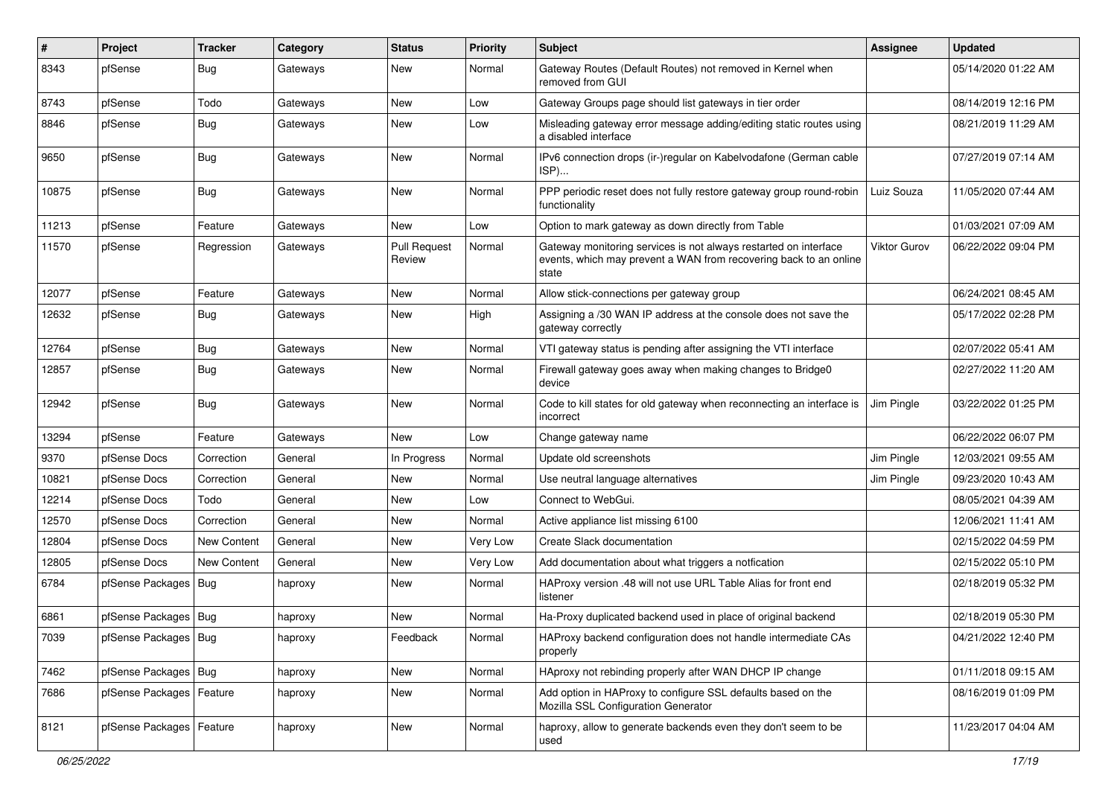| #     | Project                    | <b>Tracker</b> | Category | <b>Status</b>                 | <b>Priority</b> | Subject                                                                                                                                        | <b>Assignee</b> | <b>Updated</b>      |
|-------|----------------------------|----------------|----------|-------------------------------|-----------------|------------------------------------------------------------------------------------------------------------------------------------------------|-----------------|---------------------|
| 8343  | pfSense                    | Bug            | Gateways | New                           | Normal          | Gateway Routes (Default Routes) not removed in Kernel when<br>removed from GUI                                                                 |                 | 05/14/2020 01:22 AM |
| 8743  | pfSense                    | Todo           | Gateways | New                           | Low             | Gateway Groups page should list gateways in tier order                                                                                         |                 | 08/14/2019 12:16 PM |
| 8846  | pfSense                    | <b>Bug</b>     | Gateways | New                           | Low             | Misleading gateway error message adding/editing static routes using<br>a disabled interface                                                    |                 | 08/21/2019 11:29 AM |
| 9650  | pfSense                    | Bug            | Gateways | <b>New</b>                    | Normal          | IPv6 connection drops (ir-)regular on Kabelvodafone (German cable<br>ISP)                                                                      |                 | 07/27/2019 07:14 AM |
| 10875 | pfSense                    | Bug            | Gateways | <b>New</b>                    | Normal          | PPP periodic reset does not fully restore gateway group round-robin<br>functionality                                                           | Luiz Souza      | 11/05/2020 07:44 AM |
| 11213 | pfSense                    | Feature        | Gateways | New                           | Low             | Option to mark gateway as down directly from Table                                                                                             |                 | 01/03/2021 07:09 AM |
| 11570 | pfSense                    | Regression     | Gateways | <b>Pull Request</b><br>Review | Normal          | Gateway monitoring services is not always restarted on interface<br>events, which may prevent a WAN from recovering back to an online<br>state | Viktor Gurov    | 06/22/2022 09:04 PM |
| 12077 | pfSense                    | Feature        | Gateways | New                           | Normal          | Allow stick-connections per gateway group                                                                                                      |                 | 06/24/2021 08:45 AM |
| 12632 | pfSense                    | <b>Bug</b>     | Gateways | New                           | High            | Assigning a /30 WAN IP address at the console does not save the<br>gateway correctly                                                           |                 | 05/17/2022 02:28 PM |
| 12764 | pfSense                    | Bug            | Gateways | New                           | Normal          | VTI gateway status is pending after assigning the VTI interface                                                                                |                 | 02/07/2022 05:41 AM |
| 12857 | pfSense                    | Bug            | Gateways | New                           | Normal          | Firewall gateway goes away when making changes to Bridge0<br>device                                                                            |                 | 02/27/2022 11:20 AM |
| 12942 | pfSense                    | <b>Bug</b>     | Gateways | New                           | Normal          | Code to kill states for old gateway when reconnecting an interface is<br>incorrect                                                             | Jim Pingle      | 03/22/2022 01:25 PM |
| 13294 | pfSense                    | Feature        | Gateways | <b>New</b>                    | Low             | Change gateway name                                                                                                                            |                 | 06/22/2022 06:07 PM |
| 9370  | pfSense Docs               | Correction     | General  | In Progress                   | Normal          | Update old screenshots                                                                                                                         | Jim Pingle      | 12/03/2021 09:55 AM |
| 10821 | pfSense Docs               | Correction     | General  | <b>New</b>                    | Normal          | Use neutral language alternatives                                                                                                              | Jim Pingle      | 09/23/2020 10:43 AM |
| 12214 | pfSense Docs               | Todo           | General  | New                           | Low             | Connect to WebGui.                                                                                                                             |                 | 08/05/2021 04:39 AM |
| 12570 | pfSense Docs               | Correction     | General  | New                           | Normal          | Active appliance list missing 6100                                                                                                             |                 | 12/06/2021 11:41 AM |
| 12804 | pfSense Docs               | New Content    | General  | New                           | Very Low        | Create Slack documentation                                                                                                                     |                 | 02/15/2022 04:59 PM |
| 12805 | pfSense Docs               | New Content    | General  | New                           | Very Low        | Add documentation about what triggers a notfication                                                                                            |                 | 02/15/2022 05:10 PM |
| 6784  | pfSense Packages   Bug     |                | haproxy  | New                           | Normal          | HAProxy version .48 will not use URL Table Alias for front end<br>listener                                                                     |                 | 02/18/2019 05:32 PM |
| 6861  | pfSense Packages   Bug     |                | haproxy  | <b>New</b>                    | Normal          | Ha-Proxy duplicated backend used in place of original backend                                                                                  |                 | 02/18/2019 05:30 PM |
| 7039  | pfSense Packages   Bug     |                | haproxy  | Feedback                      | Normal          | HAProxy backend configuration does not handle intermediate CAs<br>properly                                                                     |                 | 04/21/2022 12:40 PM |
| 7462  | pfSense Packages   Bug     |                | haproxy  | New                           | Normal          | HAproxy not rebinding properly after WAN DHCP IP change                                                                                        |                 | 01/11/2018 09:15 AM |
| 7686  | pfSense Packages   Feature |                | haproxy  | New                           | Normal          | Add option in HAProxy to configure SSL defaults based on the<br>Mozilla SSL Configuration Generator                                            |                 | 08/16/2019 01:09 PM |
| 8121  | pfSense Packages   Feature |                | haproxy  | New                           | Normal          | haproxy, allow to generate backends even they don't seem to be<br>used                                                                         |                 | 11/23/2017 04:04 AM |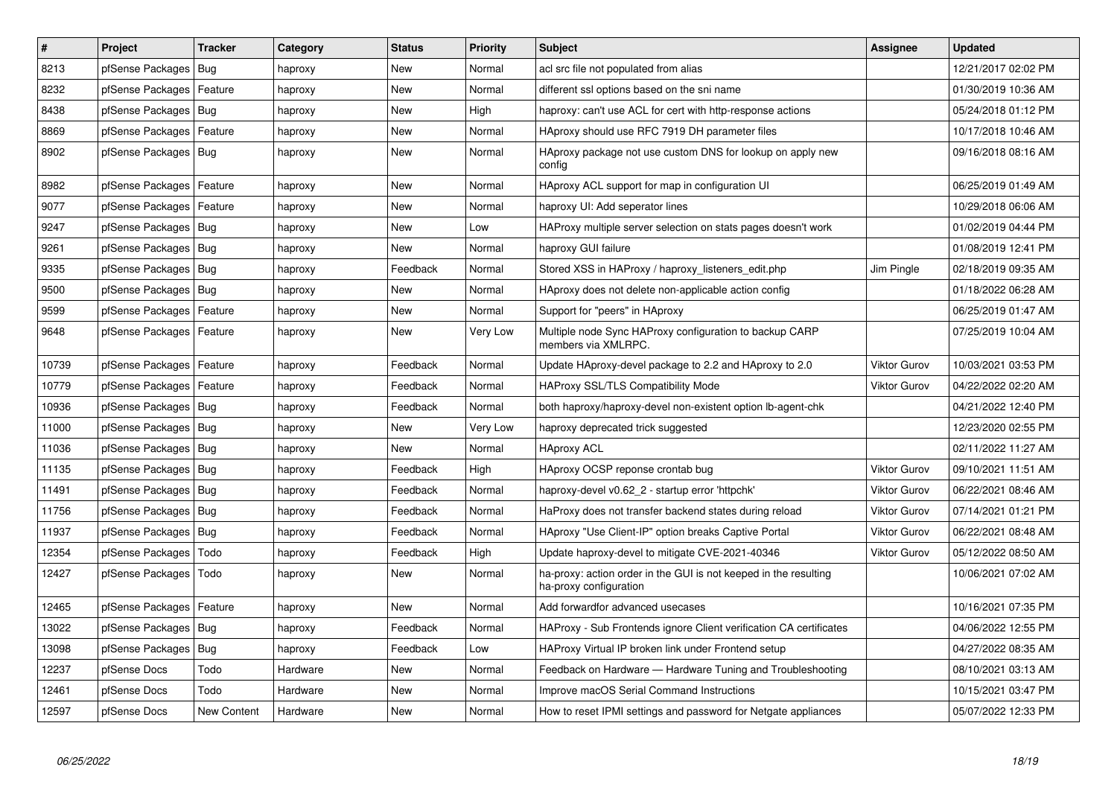| $\vert$ # | Project                    | <b>Tracker</b> | Category | <b>Status</b> | Priority | <b>Subject</b>                                                                             | <b>Assignee</b>     | <b>Updated</b>      |
|-----------|----------------------------|----------------|----------|---------------|----------|--------------------------------------------------------------------------------------------|---------------------|---------------------|
| 8213      | pfSense Packages           | Bug            | haproxy  | New           | Normal   | acl src file not populated from alias                                                      |                     | 12/21/2017 02:02 PM |
| 8232      | pfSense Packages   Feature |                | haproxy  | <b>New</b>    | Normal   | different ssl options based on the sni name                                                |                     | 01/30/2019 10:36 AM |
| 8438      | pfSense Packages   Bug     |                | haproxy  | New           | High     | haproxy: can't use ACL for cert with http-response actions                                 |                     | 05/24/2018 01:12 PM |
| 8869      | pfSense Packages           | Feature        | haproxy  | <b>New</b>    | Normal   | HAproxy should use RFC 7919 DH parameter files                                             |                     | 10/17/2018 10:46 AM |
| 8902      | pfSense Packages   Bug     |                | haproxy  | New           | Normal   | HAproxy package not use custom DNS for lookup on apply new<br>config                       |                     | 09/16/2018 08:16 AM |
| 8982      | pfSense Packages           | Feature        | haproxy  | New           | Normal   | HAproxy ACL support for map in configuration UI                                            |                     | 06/25/2019 01:49 AM |
| 9077      | pfSense Packages   Feature |                | haproxy  | New           | Normal   | haproxy UI: Add seperator lines                                                            |                     | 10/29/2018 06:06 AM |
| 9247      | pfSense Packages   Bug     |                | haproxy  | New           | Low      | HAProxy multiple server selection on stats pages doesn't work                              |                     | 01/02/2019 04:44 PM |
| 9261      | pfSense Packages   Bug     |                | haproxy  | <b>New</b>    | Normal   | haproxy GUI failure                                                                        |                     | 01/08/2019 12:41 PM |
| 9335      | pfSense Packages           | Bug            | haproxy  | Feedback      | Normal   | Stored XSS in HAProxy / haproxy listeners edit.php                                         | Jim Pingle          | 02/18/2019 09:35 AM |
| 9500      | pfSense Packages   Bug     |                | haproxy  | <b>New</b>    | Normal   | HAproxy does not delete non-applicable action config                                       |                     | 01/18/2022 06:28 AM |
| 9599      | pfSense Packages           | Feature        | haproxy  | <b>New</b>    | Normal   | Support for "peers" in HAproxy                                                             |                     | 06/25/2019 01:47 AM |
| 9648      | pfSense Packages           | Feature        | haproxy  | <b>New</b>    | Very Low | Multiple node Sync HAProxy configuration to backup CARP<br>members via XMLRPC.             |                     | 07/25/2019 10:04 AM |
| 10739     | pfSense Packages           | Feature        | haproxy  | Feedback      | Normal   | Update HAproxy-devel package to 2.2 and HAproxy to 2.0                                     | <b>Viktor Gurov</b> | 10/03/2021 03:53 PM |
| 10779     | pfSense Packages           | Feature        | haproxy  | Feedback      | Normal   | HAProxy SSL/TLS Compatibility Mode                                                         | <b>Viktor Gurov</b> | 04/22/2022 02:20 AM |
| 10936     | pfSense Packages           | Bug            | haproxy  | Feedback      | Normal   | both haproxy/haproxy-devel non-existent option Ib-agent-chk                                |                     | 04/21/2022 12:40 PM |
| 11000     | pfSense Packages   Bug     |                | haproxy  | <b>New</b>    | Very Low | haproxy deprecated trick suggested                                                         |                     | 12/23/2020 02:55 PM |
| 11036     | pfSense Packages   Bug     |                | haproxy  | <b>New</b>    | Normal   | <b>HAproxy ACL</b>                                                                         |                     | 02/11/2022 11:27 AM |
| 11135     | pfSense Packages   Bug     |                | haproxy  | Feedback      | High     | HAproxy OCSP reponse crontab bug                                                           | <b>Viktor Gurov</b> | 09/10/2021 11:51 AM |
| 11491     | pfSense Packages           | Bug            | haproxy  | Feedback      | Normal   | haproxy-devel v0.62 2 - startup error 'httpchk'                                            | <b>Viktor Gurov</b> | 06/22/2021 08:46 AM |
| 11756     | pfSense Packages   Bug     |                | haproxy  | Feedback      | Normal   | HaProxy does not transfer backend states during reload                                     | <b>Viktor Gurov</b> | 07/14/2021 01:21 PM |
| 11937     | pfSense Packages   Bug     |                | haproxy  | Feedback      | Normal   | HAproxy "Use Client-IP" option breaks Captive Portal                                       | <b>Viktor Gurov</b> | 06/22/2021 08:48 AM |
| 12354     | pfSense Packages           | Todo           | haproxy  | Feedback      | High     | Update haproxy-devel to mitigate CVE-2021-40346                                            | <b>Viktor Gurov</b> | 05/12/2022 08:50 AM |
| 12427     | pfSense Packages           | Todo           | haproxy  | <b>New</b>    | Normal   | ha-proxy: action order in the GUI is not keeped in the resulting<br>ha-proxy configuration |                     | 10/06/2021 07:02 AM |
| 12465     | pfSense Packages           | Feature        | haproxy  | <b>New</b>    | Normal   | Add forwardfor advanced usecases                                                           |                     | 10/16/2021 07:35 PM |
| 13022     | pfSense Packages   Bug     |                | haproxy  | Feedback      | Normal   | HAProxy - Sub Frontends ignore Client verification CA certificates                         |                     | 04/06/2022 12:55 PM |
| 13098     | pfSense Packages   Bug     |                | haproxy  | Feedback      | Low      | HAProxy Virtual IP broken link under Frontend setup                                        |                     | 04/27/2022 08:35 AM |
| 12237     | pfSense Docs               | Todo           | Hardware | New           | Normal   | Feedback on Hardware - Hardware Tuning and Troubleshooting                                 |                     | 08/10/2021 03:13 AM |
| 12461     | pfSense Docs               | Todo           | Hardware | New           | Normal   | Improve macOS Serial Command Instructions                                                  |                     | 10/15/2021 03:47 PM |
| 12597     | pfSense Docs               | New Content    | Hardware | New           | Normal   | How to reset IPMI settings and password for Netgate appliances                             |                     | 05/07/2022 12:33 PM |